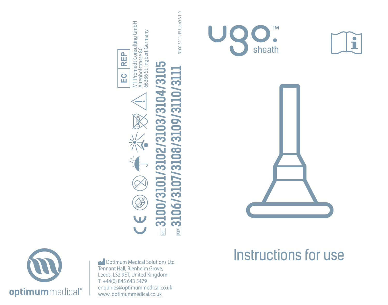

 Optimum Medical Solutions Ltd Tennant Hall, Blenheim Grove, Leeds, LS2 9ET, United Kingdom T: +44(0) 845 643 5479 enquiries@optimummedical.co.uk www. optimummedical.co.uk









**3100/3101/3102/3103/3104/3105 3106/3107/3108/3109/3110/3111**

**/3108/3109/3110/3111** 

3106/3107

**RET** 

MT Promedt Consulting GmbH<br>Altenhofstrasse 80<br>66386 St. Ingbert Germany MT Promedt Consulting GmbH Altenhofstrasse 80 66386 St. Ingbert Germany 3100-3111-IFU-Jan9-V1.0 3100-3111-IFU-Jan9-V1.0



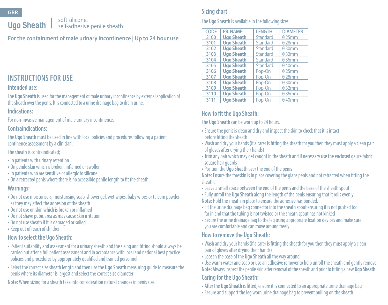**GBR**

# **Ugo Sheath**

soft silicone, self-adhesive penile sheath

**For the containment of male urinary incontinence | Up to 24 hour use**

# **INSTRUCTIONS FOR USE**

### **Intended use:**

The **Ugo Sheath** is used for the management of male urinary incontinence by external application of the sheath over the penis. It is connected to a urine drainage bag to drain urine.

#### **Indications:**

For non-invasive management of male urinary incontinence.

#### **Contraindications:**

The **Ugo Sheath** must be used in line with local policies and procedures following a patient continence assessment by a clinician.

The sheath is contraindicated;

- In patients with urinary retention
- On penile skin which is broken, inflamed or swollen
- In patients who are sensitive or allergic to silicone
- On a retracted penis where there is no accessible penile length to fit the sheath

### **Warnings:**

- Do not use moisturisers, moisturising soap, shower gel, wet wipes, baby wipes or talcum powder as they may affect the adhesion of the sheath
- Do not use on skin which is broken or inflamed
- Do not shave pubic area as may cause skin irritation
- Do not use sheath if it is damaged or soiled
- Keep out of reach of children

### **How to select the Ugo Sheath:**

- •Patient suitability and assessment for a urinary sheath and the sizing and fitting should always be carried out after a full patient assessment and in accordance with local and national best practice policies and procedures by appropriately qualified and trained personnel
- Select the correct size sheath length and then use the **Ugo Sheath** measuring guide to measure the penis where its diameter is largest and select the correct size diameter

**Note:** When sizing for a sheath take into consideration natural changes in penis size.

# **Sizing chart**

#### The **Ugo Sheath** is available in the following sizes:

| CODE | PR. NAME          | <b>LENGTH</b> | <b>DIAMETER</b> |
|------|-------------------|---------------|-----------------|
| 3100 | <b>Ugo Sheath</b> | Standard      | 025mm           |
| 3101 | <b>Ugo Sheath</b> | Standard      | 028mm           |
| 3102 | <b>Ugo Sheath</b> | Standard      | 030mm           |
| 3103 | <b>Ugo Sheath</b> | Standard      | 032mm           |
| 3104 | <b>Ugo Sheath</b> | Standard      | 036mm           |
| 3105 | <b>Ugo Sheath</b> | Standard      | 040mm           |
| 3106 | <b>Ugo Sheath</b> | Pop-On        | 025mm           |
| 3107 | <b>Ugo Sheath</b> | Pop-On        | 028mm           |
| 3108 | <b>Ugo Sheath</b> | Pop-On        | 030mm           |
| 3109 | <b>Ugo Sheath</b> | Pop-On        | 032mm           |
| 3110 | <b>Ugo Sheath</b> | Pop-On        | 036mm           |
| 3111 | <b>Ugo Sheath</b> | Pop-On        | 040mm           |

# **How to fit the Ugo Sheath:**

The **Ugo Sheath** can be worn up to 24 hours.

- Ensure the penis is clean and dry and inspect the skin to check that it is intact before fitting the sheath
- Wash and dry your hands (if a carer is fitting the sheath for you then they must apply a clean pair of gloves after drying their hands)
- Trim any hair which may get caught in the sheath and if necessary use the enclosed gauze fabric square hair quards
- •Position the **Ugo Sheath** over the end of the penis

**Note:** Ensure the foreskin is in place covering the glans penis and not retracted when fitting the sheath.

- Leave a small space between the end of the penis and the base of the sheath spout
- Fully unroll the **Ugo Sheath** along the length of the penis ensuring that it rolls evenly **Note:** Hold the sheath in place to ensure the adhesive has bonded.
- Fit the urine drainage bag connector into the sheath spout ensuring it is not pushed too far in and that the tubing is not twisted or the sheath spout has not kinked
- Secure the urine drainage bag to the leg using appropriate fixation devices and make sure you are comfortable and can move around freely

### **How to remove the Ugo Sheath:**

- Wash and dry your hands (if a carer is fitting the sheath for you then they must apply a clean pair of gloves after drying their hands)
- Loosen the base of the **Ugo Sheath** all the way around

• Use warm water and soap or use an adhesive remover to help unroll the sheath and gently remove **Note:** Always inspect the penile skin after removal of the sheath and prior to fitting a new **Ugo Sheath. Caring for the Ugo Sheath:**

- After the **Ugo Sheath** is fitted, ensure it is connected to an appropriate urine drainage bag
- Secure and support the leg worn urine drainage bag to prevent pulling on the sheath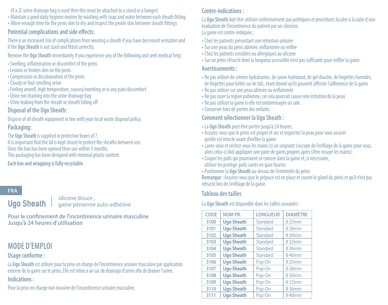#### (if a 2L urine drainage bag is used then this must be attached to a stand or a hanger)

- Maintain a good daily hygiene routine by washing with soap and water between each sheath fitting
- Allow enough time for the penis skin to dry and inspect the penile skin between sheath fittings

## **Potential complications and side effects:**

There is an increased risk of complications from wearing a sheath if you have decreased sensation and if the **Ugo Sheath** is not sized and fitted correctly.

- Remove the **Ugo Sheath** immediately if you experience any of the following and seek medical help;
- Swelling, inflammation or discomfort of the penis
- Lesions or broken skin on the penis
- Compression or discolouration of the penis
- Cloudy or foul-smelling urine
- Feeling unwell, high temperature, nausea/vomiting or in any pain/discomfort
- Urine not draining into the urine drainage bag
- Urine leaking from the sheath or sheath falling off

# **Disposal of the Ugo Sheath:**

Dispose of all sheath equipment in line with your local waste disposal policy. **Packaging:**

The **Ugo Sheath** is supplied in protective boxes of 7. It is important that the lid is kept closed to protect the sheaths between use. Once the box has been opened then use within 3 months. This packaging has been designed with minimal plastic content.

**Each box and wrapping is fully recyclable**.

# **FRA**

**Ugo Sheath**

silicone douce , gaine pénienne auto-adhésive

**Pour le confinement de l'incontinence urinaire masculine Jusqu'à 24 heures d'utilisation** 

# **MODE D'EMPLOI**

# **Usage conforme :**

La **Ugo Sheath** est utilisée pour la prise en charge de l'incontinence urinaire masculine par application externe de la gaine sur le pénis. Elle est reliée à un sac de drainage d'urine afin de drainer l'urine. **Indications :**

Pour la prise en charge non invasive de l'incontinence urinaire masculine.

# **Contre-indications :**

La **Ugo Sheath** doit être utilisée conformément aux politiques et procédures locales à la suite d'une évaluation de l'incontinence du patient par un clinicien. La gaine est contre-indiquée ;

- Chez les patients présentant une rétention urinaire
- Sur une peau du pénis abîmée, enflammée ou enflée
- Chez les patients sensibles ou allergiques au silicone
- Sur un pénis rétracté dont la longueur accessible n'est pas suffisante pour enfiler la gaine.

# **Avertissements :**

- Ne pas utiliser de crèmes hydratantes, de savon hydratant, de gel douche, de lingettes humides, de lingettes pour bébés ou de talc, étant donné qu'ils peuvent affecter l'adhérence de la gaine
- Ne pas utiliser sur une peau abîmée ou enflammée
- Ne pas raser la région pubienne, car cela pourrait causer une irritation de la peau
- Ne pas utiliser la gaine si elle est endommagée ou sale.
- Conserver hors de portée des enfants.

# **Comment sélectionner la Ugo Sheath :**

- La **Ugo Sheath** peut être portée jusqu'à 24 heures.
- Assurez-vous que le pénis est propre et sec et inspectez la peau pour vous assurer qu'elle est intacte avant d'enfiler la gaine
- Lavez-vous et séchez-vous les mains (si un soignant s'occupe de l'enfilage de la gaine pour vous, alors celui-ci doit appliquer une paire de gants propres après s'être essuyé les mains).
- Couper les poils qui pourraient se coincer dans la gaine et, si nécessaire, utiliser les protège-poils carrés en gaze fournis
- •Positionner la **Ugo Sheath** au-dessus de l'extrémité du pénis

**Remarque :** Assurez-vous que le prépuce est en place et couvre le gland du pénis et qu'il n'est pas rétracté lors de l'enfilage de la gaine.

# **Tableau des tailles**

La **Ugo Sheath** est disponible dans les tailles suivantes :

| CODE | NOM PR.           | <b>LONGUEUR</b> | <b>DIAMÈTRE</b> |
|------|-------------------|-----------------|-----------------|
| 3100 | <b>Ugo Sheath</b> | Standard        | 025mm           |
| 3101 | <b>Ugo Sheath</b> | Standard        | 028mm           |
| 3102 | <b>Ugo Sheath</b> | Standard        | 030mm           |
| 3103 | <b>Ugo Sheath</b> | Standard        | 032mm           |
| 3104 | <b>Ugo Sheath</b> | Standard        | 036mm           |
| 3105 | <b>Ugo Sheath</b> | Standard        | 040mm           |
| 3106 | <b>Ugo Sheath</b> | Pop-On          | 025mm           |
| 3107 | <b>Ugo Sheath</b> | Pop-On          | 028mm           |
| 3108 | <b>Ugo Sheath</b> | Pop-On          | 030mm           |
| 3109 | <b>Ugo Sheath</b> | Pop-On          | 032mm           |
| 3110 | <b>Ugo Sheath</b> | Pop-On          | 036mm           |
| 3111 | <b>Ugo Sheath</b> | Pop-On          | 040mm           |
|      |                   |                 |                 |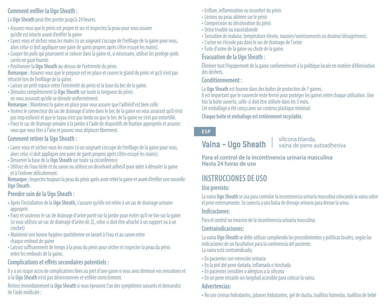# **Comment enfiler la Ugo Sheath :**

La **Ugo Sheath** peut être portée jusqu'à 24 heures.

- Assurez-vous que le pénis est propre et sec et inspectez la peau pour vous assurer qu'elle est intacte avant d'enfiler la gaine
- Lavez-vous et séchez-vous les mains (si un soignant s'occupe de l'enfilage de la gaine pour vous, alors celui-ci doit appliquer une paire de gants propres après s'être essuyé les mains).
- Couper les poils qui pourraient se coincer dans la gaine et, si nécessaire, utiliser les protège-poils carrés en gaze fournis
- •Positionner la **Ugo Sheath** au-dessus de l'extrémité du pénis

**Remarque :** Assurez-vous que le prépuce est en place et couvre le gland du pénis et qu'il n'est pas rétracté lors de l'enfilage de la gaine.

- Laisser un petit espace entre l'extrémité du pénis et la base du bec de la gaine.
- Déroulez complètement la **Ugo Sheath** sur toute la longueur du pénis en vous assurant qu'elle se déroule uniformément.

**Remarque :** Maintenez la gaine en place pour vous assurer que l'adhésif est bien collé.

- Insérez le connecteur du sac de drainage d'urine dans le bec de la gaine en vous assurant qu'il n'est pas trop enfoncé et que le tuyau n'est pas tordu ou que le bec de la gaine ne s'est pas entortillé.
- Fixez le sac de drainage urinaire à la jambe à l'aide de dispositifs de fixation appropriés et assurezvous que vous êtes à l'aise et pouvez vous déplacer librement.

# **Comment retirer la Ugo Sheath :**

- Lavez-vous et séchez-vous les mains (si un soignant s'occupe de l'enfilage de la gaine pour vous, alors celui-ci doit appliquer une paire de gants propres après s'être essuyé les mains).
- Desserrer la base de la **Ugo Sheath** sur toute sa circonférence
- Utilisez de l'eau tiède et du savon ou utilisez un dissolvant adhésif pour aider à dérouler la gaine et à l'enlever délicatement.

**Remarque :** Inspectez toujours la peau du pénis après avoir retiré la gaine et avant d'enfiler une nouvelle **Ugo Sheath** .

# **Prendre soin de la Ugo Sheath :**

- Après l'installation de la **Ugo Sheath,** s'assurer qu'elle est reliée à un sac de drainage urinaire approprié.
- Fixez et soutenez le sac de drainage d'urine porté sur la jambe pour éviter qu'il ne tire sur la gaine (si vous utilisez un sac de drainage d'urine de 2L, celui-ci doit être attaché à un support ou à un crochet)
- Maintenir une bonne hygiène quotidienne en lavant à l'eau et au savon entre chaque embout de gaine
- Laissez suffisamment de temps à la peau du pénis pour sécher et inspecter la peau du pénis entre les embouts de la gaine.

# **Complications et effets secondaires potentiels :**

Il y a un risque accru de complications liées au port d'une gaine si vous avez diminué vos sensations et si la **Ugo Sheath** n'est pas dimensionnée et enfilée correctement.

Retirez immédiatement la **Ugo Sheath** si vous éprouvez l'un des symptômes suivants et demandez de l'aide médicale ;

- Enflure, inflammation ou inconfort du pénis
- Lésions ou peau abîmée sur le pénis
- Compression ou décoloration du pénis
- Urine trouble ou nauséabonde
- Sensation de malaise, température élevée, nausées/vomissements ou douleur/désagrément.
- L'urine ne s'écoule pas dans le sac de drainage de l'urine
- Fuite d'urine de la gaine ou chute de la gaine.

# **Évacuation de la Ugo Sheath :**

Éliminer tout l'équipement de la gaine conformément à la politique locale en matière d'élimination des déchets.

# **Conditionnement :**

La **Ugo Sheath** est fournie dans des boîtes de protection de 7 gaines.

Il est important que le couvercle reste fermé pour protéger les gaines entre chaque utilisation. Une fois la boîte ouverte, celle-ci doit être utilisée dans les 3 mois. Cet emballage a été conçu avec un contenu plastique minimal.

**Chaque boîte et emballage est entièrement recyclable.** 

### **ESP**

# **Vaina - Ugo Sheath**

#### silicona blanda, vaina de pene autoadhesiva

**Para el control de la incontinencia urinaria masculina Hasta 24 horas de uso** 

# **INSTRUCCIONES DE USO**

# **Uso previsto:**

La vaina **Ugo Sheath** se usa para controlar la incontinencia urinaria masculina colocando la vaina sobre el pene externamente. Se conecta a una bolsa de drenaje urinario para drenar la urina.

# **Indicaciones:**

Para el control no invasivo de la incontinencia urinaria masculina.

# **Contraindicaciones:**

La vaina **Ugo Sheath** se debe utilizar cumpliendo los procedimientos y políticas locales, según las indicaciones de un facultativo para la continencia del paciente. La vaina está contraindicada;

- En pacientes con retención urinaria
- En la piel del pene dañada, inflamada o hinchada
- En pacientes sensibles o alérgicos a la silicona
- En un pene retraído sin longitud accesible para colocar la vaina.

# **Advertencias:**

• No use cremas hidratantes, jabones hidratantes, gel de ducha, toallitas húmedas, toallitas de bebé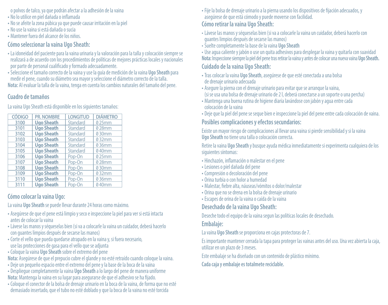o polvos de talco, ya que podrán afectar a la adhesión de la vaina

- No lo utilice en piel dañada o inflamada
- No se afeite la zona púbica ya que puede causar irritación en la piel
- No use la vaina si está dañada o sucia
- Mantener fuera del alcance de los niños.

### **Cómo seleccionar la vaina Ugo Sheath:**

- La idoneidad del paciente para la vaina urinaria y la valoración para la talla y colocación siempre se realizará a de acuerdo con los procedimientos de políticas de mejores prácticas locales y nacionales por parte de personal cualificado y formado adecuadamente.
- Seleccione el tamaño correcto de la vaina y use la guía de medición de la vaina **Ugo Sheath** para medir el pene, cuando su diámetro sea mayor y seleccione el diámetro correcto de la talla. **Nota:** Al evaluar la talla de la vaina, tenga en cuenta los cambios naturales del tamaño del pene.

# **Cuadro de tamaños**

| <b>CÓDIGO</b> | <b>PR. NOMBRE</b> | <b>LONGITUD</b> | <b>DIÁMETRO</b> |
|---------------|-------------------|-----------------|-----------------|
| 3100          | <b>Ugo Sheath</b> | Standard        | 025mm           |
| 3101          | <b>Ugo Sheath</b> | Standard        | 028mm           |
| 3102          | <b>Ugo Sheath</b> | Standard        | 0.30mm          |
| 3103          | <b>Ugo Sheath</b> | Standard        | 032mm           |
| 3104          | <b>Ugo Sheath</b> | Standard        | 036mm           |
| 3105          | <b>Ugo Sheath</b> | Standard        | 040mm           |
| 3106          | <b>Ugo Sheath</b> | Pop-On          | 025mm           |
| 3107          | <b>Ugo Sheath</b> | Pop-On          | 028mm           |
| 3108          | <b>Ugo Sheath</b> | Pop-On          | 0.30mm          |
| 3109          | <b>Ugo Sheath</b> | Pop-On          | 032mm           |
| 3110          | <b>Ugo Sheath</b> | Pop-On          | 036mm           |
| 3111          | <b>Ugo Sheath</b> | Pop-On          | 040mm           |
|               |                   |                 |                 |

La vaina Ugo Sheath está disponible en los siguientes tamaños:

# **Cómo colocar la vaina Ugo:**

La vaina **Ugo Sheath** se puede llevar durante 24 horas como máximo.

- Asegúrese de que el pene está limpio y seco e inspeccione la piel para ver si está intacta antes de colocar la vaina
- Lávese las manos y séqueselas bien (si va a colocarle la vaina un cuidador, deberá hacerlo con guantes limpios después de secarse las manos)
- Corte el vello que pueda quedarse atrapado en la vaina y, si fuera necesario, use las protecciones de gasa para el vello que se adjunta
- Coloque la vaina **Ugo Sheath** sobre el extremo del pene
- **Nota:** Asegúrese de que el prepucio cubre el glande y no esté retraído cuando coloque la vaina.
- Deje un pequeño espacio entre el extremo del pene y la base de la boca de la vaina
- Despliegue completamente la vaina **Ugo Sheath** a lo largo del pene de manera uniforme **Nota:** Mantenga la vaina en su lugar para asegurarse de que el adhesivo se ha fijado.
- Coloque el conector de la bolsa de drenaje urinario en la boca de la vaina, de forma que no esté demasiado insertado, que el tubo no esté doblado y que la boca de la vaina no esté torcida

• Fije la bolsa de drenaje urinario a la pierna usando los dispositivos de fijación adecuados, y asegúrese de que está cómodo y puede moverse con facilidad.

# **Cómo retirar la vaina Ugo Sheath:**

- Lávese las manos y séqueselas bien (si va a colocarle la vaina un cuidador, deberá hacerlo con guantes limpios después de secarse las manos)
- Suelte completamente la base de la vaina **Ugo Sheath**
- Use agua caliente y jabón o use un quita adhesivos para desplegar la vaina y quitarla con suavidad **Nota:** Inspeccione siempre la piel del pene tras retirar la vaina y antes de colocar una nueva vaina **Ugo Sheath.**

# **Cuidado de la vaina Ugo Sheath:**

- Tras colocar la vaina **Ugo Sheath**, asegúrese de que esté conectada a una bolsa de drenaje urinario adecuada
- Asegure la pierna con el drenaje urinario para evitar que se arranque la vaina, (si se usa una bolsa de drenaje urinario de 2 l, deberá conectarse a un soporte o una percha)
- Mantenga una buena rutina de higiene diaria lavándose con jabón y agua entre cada colocación de la vaina
- Deje que la piel del pene se seque bien e inspeccione la piel del pene entre cada colocación de vaina.

### **Posibles complicaciones y efectos secundarios:**

Existe un mayor riesgo de complicaciones al llevar una vaina si pierde sensibilidad y si la vaina **Ugo Sheath** no tiene una talla o colocación correcta.

Retire la vaina **Ugo Sheath** y busque ayuda médica inmediatamente si experimenta cualquiera de los siguientes síntomas:

- Hinchazón, inflamación o malestar en el pene
- Lesiones o piel dañada del pene
- Compresión o decoloración del pene
- Orina turbia o con holor a humedad
- Malestar, fiebre alta, náuseas/vómitos o dolor/malestar
- Orina que no se drena en la bolsa de drenaje urinario
- Escapes de orina de la vaina o caída de la vaina

# **Desechado de la vaina Ugo Sheath:**

Deseche todo el equipo de la vaina segun las políticas locales de desechado.

# **Embalaje:**

La vaina **Ugo Sheath** se proporciona en cajas protectoras de 7.

Es importante mantener cerrada la tapa para proteger las vainas antes del uso. Una vez abierta la caja, utilizar en un plazo de 3 meses.

Este embalaje se ha diseñado con un contenido de plástico mínimo.

**Cada caja y embalaje es totalmete reciclable.**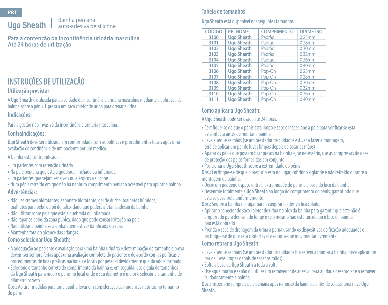# **Ugo Sheath**

#### Bainha peniana auto-adesiva de silicone

**Para a contenção da incontinência urinária masculina Até 24 horas de utilização** 

# **INSTRUÇÕES DE UTILIZAÇÃO**

### **Utilização prevista:**

A **Ugo Sheath** é utilizada para o cuidado da incontinência urinária masculina mediante a aplicação da<br>bainha sobre o pénis. É presa a um saco coletor de urina para drenar a urina.

### **Indicações:**

Para a gestão não invasiva da incontinência urinária masculina.

### **Contraindicações:**

**Ugo Sheath** deve ser utilizada em conformidade com as políticas e procedimentos locais após uma avaliação de continência de um paciente por um médico.

#### A bainha está contraindicada:

- Em pacientes com retenção urinária
- Na pele peniana que esteja quebrada, inchada ou inflamada
- Em pacientes que sejam sensíveis ou alérgicos a silicone
- Num pénis retraído em que não há nenhum comprimento peniano acessível para aplicar a bainha. **Advertências:**
- Não use cremes hidratantes, sabonete hidratante, gel de duche, toalhetes húmidos, toalhetes para bebé ou pó de talco, dado que poderá afetar a adesão da bainha.
- Não utilizar sobre pele que esteja quebrada ou inflamada
- Não rapar os pelos da zona púbica, dado que pode causar irritação na pele
- Não utilizar a bainha se a embalagem estiver danificada ou suja.
- Mantenha fora do alcance das crianças.

### **Como selecionar Ugo Sheath:**

- A adequação ao paciente e avaliação para uma bainha urinária e determinação do tamanho e prova devem ser sempre feitas após uma avaliação completa do paciente e de acordo com as políticas e procedimentos de boas práticas nacionais e locais por pessoal devidamente qualificado e formado.
- Selecione o tamanho correto de comprimento da bainha e, em seguida, use o guia de tamanhos da **Ugo Sheath** para medir o pénis no local onde o seu diâmetro é maior e selecione o tamanho de diâmetro correto.

**Obs.:** Ao tirar medidas para uma bainha,levar em consideração as mudanças naturais no tamanho do pénis.

# **Tabela de tamanhos**

### **Ugo Sheath** está disponível nos seguintes tamanhos:

| <b>CÓDIGO</b> | PR. NOME          | <b>COMPRIMENTO</b> | <b>DIÂMETRO</b> |
|---------------|-------------------|--------------------|-----------------|
| 3100          | <b>Ugo Sheath</b> | Padrão             | 025mm           |
| 3101          | <b>Ugo Sheath</b> | Padrão             | 028mm           |
| 3102          | <b>Ugo Sheath</b> | Padrão             | 030mm           |
| 3103          | <b>Ugo Sheath</b> | Padrão             | 032mm           |
| 3104          | <b>Ugo Sheath</b> | Padrão             | 036mm           |
| 3105          | <b>Ugo Sheath</b> | Padrão             | 040mm           |
| 3106          | <b>Ugo Sheath</b> | Pop-On             | 025mm           |
| 3107          | <b>Ugo Sheath</b> | Pop-On             | 028mm           |
| 3108          | <b>Ugo Sheath</b> | Pop-On             | 030mm           |
| 3109          | <b>Ugo Sheath</b> | Pop-On             | 032mm           |
| 3110          | <b>Ugo Sheath</b> | Pop-On             | 036mm           |
| 3111          | <b>Ugo Sheath</b> | Pop-On             | 040mm           |

# **Como aplicar a Ugo Sheath:**

A **Ugo Sheath** pode ser usada até 24 horas.

- Certifique-se de que o pénis está limpo e seco e inspecione a pele para verificar se esta está intacta antes de montar a bainha
- Lave e seque as mãos (se um prestador de cuidados estiver a fazer a montagem, terá de aplicar um par de luvas limpas depois de secar as mãos)
- Aparar os pêlos que possam ficar presos na bainha e, se necessário, use as compressas de gaze de proteção dos pelos fornecidas em conjunto
- •Posicionar a **Ugo Sheath** sobre a extremidade do pénis

**Obs.:** Certifique-se de que o prepúcio está no lugar, cobrindo a glande e não retraído durante a montagem da bainha.

- Deixe um pequeno espaço entre a extremidade do pénis e a base do bico da bainha
- Desenrole totalmente a **Ugo Sheath** ao longo do comprimento do pénis, garantindo que esta se desenrola uniformemente

**Obs.:** Segure a bainha no lugar para assegurar o adesivo fica colado.

- Aplicar o conector do saco coletor de urina no bico da bainha para garantir que este não é empurrado para demasiado longe e se o mesmo não está torcido ou o bico da bainha não está dobrado
- •Prenda o saco de drenagem da urina à perna usando os dispositivos de fixação adequados e certifique-se de que está confortável e se consegue movimentar livremente.

#### **Como retirar a Ugo Sheath:**

- Lave e seque as mãos (se um prestador de cuidados lhe estiver a montar a bainha, deve aplicar um par de luvas limpas depois de secar as mãos)
- Solte a base da **Ugo Sheath** a toda a volta
- Use água morna e sabão ou utilize um removedor de adesivo para ajudar a desenrolar e a remover cuidadosamente a bainha

**Obs.:** Inspecione sempre a pele peniana após remoção da bainha e antes de colocar uma nova **Ugo Sheath.**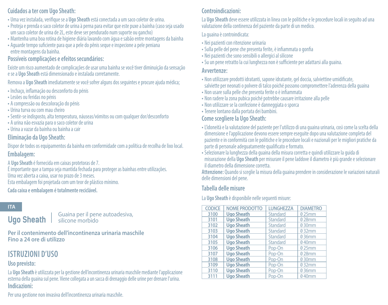### **Cuidados a ter com Ugo Sheath:**

- Uma vez instalada, verifique se a **Ugo Sheath** está conectada a um saco coletor de urina.
- •Proteja e prenda o saco coletor de urina à perna para evitar que este puxe a bainha (caso seja usado um saco coletor de urina de 2L, este deve ser pendurado num suporte ou gancho)
- Mantenha uma boa rotina de higiene diária lavando com água e sabão entre montagens da bainha
- Aguarde tempo suficiente para que a pele do pênis seque e inspecione a pele peniana entre montagens da bainha.

# **Possíveis complicações e efeitos secundários:**

Existe um risco aumentado de complicações de usar uma bainha se você tiver diminuição da sensação e se a **Ugo Sheath** está dimensionado e instalada corretamente.

Remova a **Ugo Sheath** imediatamente se você sofrer alguns dos seguintes e procure ajuda médica;

- Inchaço, inflamação ou desconforto do pénis
- Lesões ou feridas no pénis
- A compressão ou descoloração do pénis
- Urina turva ou com mau cheiro
- Sentir-se indisposto, alta temperatura, náuseas/vómitos ou com qualquer dor/desconforto
- A urina não esvazia para o saco coletor de urina
- Urina a vazar da bainha ou bainha a cair

# **Eliminação da Ugo Sheath:**

Dispor de todos os equipamentos da bainha em conformidade com a política de recolha de lixo local. **Embalagem:**

A **Ugo Sheath** é fornecida em caixas protetoras de 7.

É importante que a tampa seja mantida fechada para proteger as bainhas entre utilizações. Uma vez aberta a caixa, usar no prazo de 3 meses. Esta embalagem foi projetada com um teor de plástico mínimo.

**Cada caixa e embalagem é totalmente reciclável.**

#### **ITA**

**Ugo Sheath**

Guaina per il pene autoadesiva, silicone morbido

**Per il contenimento dell'incontinenza urinaria maschile Fino a 24 ore di utilizzo** 

# **ISTRUZIONI D'USO**

# **Uso previsto:**

La **Ugo Sheath** è utilizzata per la gestione dell'incontinenza urinaria maschile mediante l'applicazione esterna della guaina sul pene. Viene collegata a un sacca di drenaggio delle urine per drenare l'urina. **Indicazioni:**

# **Controindicazioni:**

La **Ugo Sheath** deve essere utilizzata in linea con le politiche e le procedure locali in seguito ad una valutazione della continenza del paziente da parte di un medico.

La guaina è controindicata:

- Nei pazienti con ritenzione urinaria
- Sulla pelle del pene che presenta ferite, è infiammata o gonfia
- Nei pazienti che sono sensibili o allergici al silicone
- Su un pene retratto la cui lunghezza non è sufficiente per adattarsi alla guaina.

#### **Avvertenze:**

- Non utilizzare prodotti idratanti, sapone idratante, gel doccia, salviettine umidificate, salviette per neonati o polvere di talco poiché possono compromettere l'aderenza della guaina
- Non usare sulla pelle che presenta ferite o è infiammata
- Non radere la zona pubica poiché potrebbe causare irritazione alla pelle
- Non utilizzare se la confezione è danneggiata o sporca
- Tenere lontano dalla portata dei bambini.

# **Come scegliere la Ugo Sheath:**

- L'idoneità e la valutazione del paziente per l'utilizzo di una guaina urinaria, così come la scelta della dimensione e l'applicazione devono essere sempre eseguite dopo una valutazione completa del paziente e in conformità con le politiche e le procedure locali e nazionali per le migliori pratiche da parte di personale adeguatamente qualificato e formato.
- Selezionare la lunghezza della guaina della misura corretta e quindi utilizzare la guida di misurazione della **Ugo Sheath** per misurare il pene laddove il diametro è più grande e selezionare il diametro della dimensione corretta.

**Attenzione:** Quando si sceglie la misura della guaina prendere in considerazione le variazioni naturali delle dimensioni del pene.

# **Tabella delle misure**

La **Ugo Sheath** è disponibile nelle seguenti misure:

| <b>CODICE</b> | <b>NOME PRODOTTO</b> | <b>LUNGHEZZA</b> | <b>DIAMETRO</b> |
|---------------|----------------------|------------------|-----------------|
| 3100          | <b>Ugo Sheath</b>    | Standard         | 025mm           |
| 3101          | <b>Ugo Sheath</b>    | Standard         | 028mm           |
| 3102          | <b>Ugo Sheath</b>    | Standard         | 030mm           |
| 3103          | <b>Ugo Sheath</b>    | Standard         | 032mm           |
| 3104          | <b>Ugo Sheath</b>    | Standard         | 036mm           |
| 3105          | <b>Ugo Sheath</b>    | Standard         | 040mm           |
| 3106          | <b>Ugo Sheath</b>    | Pop-On           | 025mm           |
| 3107          | <b>Ugo Sheath</b>    | Pop-On           | 028mm           |
| 3108          | <b>Ugo Sheath</b>    | Pop-On           | 030mm           |
| 3109          | <b>Ugo Sheath</b>    | Pop-On           | 032mm           |
| 3110          | <b>Ugo Sheath</b>    | Pop-On           | 036mm           |
| 3111          | <b>Ugo Sheath</b>    | Pop-On           | 040mm           |

Per una gestione non invasiva dell'incontinenza urinaria maschile.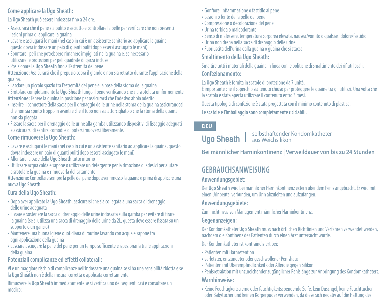# **Come applicare la Ugo Sheath:**

La **Ugo Sheath** può essere indossata fino a 24 ore.

- Assicurarsi che il pene sia pulito e asciutto e controllare la pelle per verificare che non presenti lesioni prima di applicare la guaina
- Lavare e asciugarsi le mani (nel caso in cui è un assistente sanitario ad applicare la guaina, questo dovrà indossare un paio di guanti puliti dopo essersi asciugato le mani)
- Spuntare i peli che potrebbero rimanere impigliati nella guaina e, se necessario, utilizzare le protezioni per peli quadrate di garza incluse
- •Posizionare la **Ugo Sheath** fino all'estremità del pene

**Attenzione:** Assicurarsi che il prepuzio copra il glande e non sia retratto durante l'applicazione della guaina.

- Lasciare un piccolo spazio tra l'estremità del pene e la base della stoma della guaina
- Srotolare completamente la **Ugo Sheath** lungo il pene verificando che sia srotolata uniformemente **Attenzione:** Tenere la guaina in posizione per assicurarsi che l'adesivo abbia aderito.
- Inserire il connettore della sacca per il drenaggio delle urine nella stoma della guaina assicurandosi che non sia spinto troppo in avanti e che il tubo non sia attorcigliato o che la stoma della guaina non sia piegata
- Fissare la sacca per il drenaggio delle urine alla gamba utilizzando dispositivi di fissaggio adeguati e assicurarsi di sentirsi comodi e di potersi muoversi liberamente.

### **Come rimuovere la Ugo Sheath:**

- Lavare e asciugarsi le mani (nel caso in cui è un assistente sanitario ad applicare la guaina, questo dovrà indossare un paio di guanti puliti dopo essersi asciugato le mani)
- Allentare la base della **Ugo Sheath** tutto intorno
- Utilizzare acqua calda e sapone o utilizzare un detergente per la rimozione di adesivi per aiutare a srotolare la guaina e rimuoverla delicatamente

**Attenzione:** Controllare sempre la pelle del pene dopo aver rimosso la guaina e prima di applicare una nuova **Ugo Sheath.**

### **Cura della Ugo Sheath:**

- Dopo aver applicato la **Ugo Sheath**, assicurarsi che sia collegata a una sacca di drenaggio delle urine adeguata
- Fissare e sostenere la sacca di drenaggio delle urine indossata sulla gamba per evitare di tirare la guaina (se si utilizza una sacca di drenaggio delle urine da 2L, questa deve essere fissata su un supporto o un gancio)
- Mantenere una buona igiene quotidiana di routine lavando con acqua e sapone tra ogni applicazione della guaina
- Lasciare asciugare la pelle del pene per un tempo sufficiente e ispezionarla tra le applicazioni della guaina.

### **Potenziali complicanze ed effetti collaterali:**

Vi è un maggiore rischio di complicanze nell'indossare una guaina se si ha una sensibilità ridotta e se la **Ugo Sheath** non è della misurai corretta o applicata correttamente.

Rimuovere la **Ugo Sheath** immediatamente se si verifica uno dei seguenti casi e consultare un medico:

- Gonfiore, infiammazione o fastidio al pene
- Lesioni o ferite della pelle del pene
- Compressione o decolorazione del pene
- Urina torbida o maleodorante
- Senso di malessere, temperatura corporea elevata, nausea/vomito o qualsiasi dolore/fastidio
- Urina non drena nella sacca di drenaggio delle urine
- Fuoriuscita dell'urina dalla guaina o guaina che si stacca

# **Smaltimento della Ugo Sheath:**

Smaltire tutti i materiali della guaina in linea con le politiche di smaltimento dei rifiuti locali.

#### **Confezionamento:**

La **Ugo Sheath** è fornita in scatole di protezione da 7 unità.

È importante che il coperchio sia tenuto chiuso per proteggere le guaine tra gli utilizzi. Una volta che la scatola è stata aperta utilizzare il contenuto entro 3 mesi.

Questa tipologia di confezione è stata progettata con il minimo contenuto di plastica. **Le scatole e l'imballaggio sono completamente riciclabili.** 

### **DEU**

# **Ugo Sheath**

selbsthaftender Kondomkatheter aus Weichsilikon

**Bei männlicher Harninkontinenz | Verweildauer von bis zu 24 Stunden** 

# **GEBRAUCHSANWEISUNG**

### **Anwendungsgebiet:**

Der **Ugo Sheath** wird bei männlicher Harninkontinenz extern über dem Penis angebracht. Er wird mit einen Urinbeutel verbunden, um Urin abzuleiten und aufzufangen.

### **Anwendungsgebiete:**

Zum nichtinvasiven Management männlicher Harninkontinenz.

### **Gegenanzeigen:**

Der Kondomkatheter **Ugo Sheath** muss nach örtlichen Richtlinien und Verfahren verwendet werden, nachdem die Kontinenz des Patienten durch einen Arzt untersucht wurde.

Der Kondomkatheter ist kontraindiziert bei:

- •Patienten mit Harnretention
- verletzter, entzündeter oder geschwollener Penishaus
- •Patienten mit Überempfindlichkeit oder Allergie gegen Silikon
- •Penisretraktion mit unzureichender zugänglicher Penislänge zur Anbringung des Kondomkatheters. **Warnhinweise:**

#### • Keine Feuchtigkeitscreme oder feuchtigkeitsspendende Seife, kein Duschgel, keine Feuchttücher oder Babytücher und keinen Körperpuder verwenden, da diese sich negativ auf die Haftung des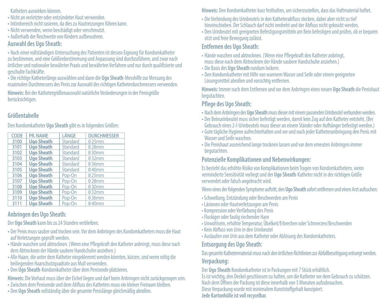Katheters auswirken können.

- Nicht an verletzter oder entzündeter Haut verwenden.
- Intimbereich nicht rasieren, da dies zu Hautreizungen führen kann.
- Nicht verwenden, wenn beschädigt oder verschmutzt.
- Außerhalb der Reichweite von Kindern aufbewahren.

## **Auswahl des Ugo Sheath:**

• Nach einer vollständigen Untersuchung des Patienten ist dessen Eignung für Kondomkatheter zu bestimmen, und eine Größenbestimmung und Anpassung sind durchzuführen, und zwar nach örtlicher und nationaler bewährter Praxis und bewährten Verfahren und nur durch qualifizierte und geschulte Fachkräfte.

• Die richtige Katheterlänge auswählen und dann die **Ugo Sheath**-Messhilfe zur Messung des maximalen Durchmessers des Penis zur Auswahl des richtigen Katheterdurchmessers verwenden.

**Hinweis:** Bei der Kathetergrößenauswahl natürliche Veränderungen in der Penisgröße berücksichtigen.

# **Größentabelle**

Den Kondomkatheter **Ugo Sheath** gibt es in folgenden Größen:

| CODE | PR. NAME          | LÄNGE    | <b>DURCHMESSER</b> |
|------|-------------------|----------|--------------------|
|      |                   |          |                    |
| 3100 | <b>Ugo Sheath</b> | Standard | 025mm              |
| 3101 | <b>Ugo Sheath</b> | Standard | 028mm              |
| 3102 | <b>Ugo Sheath</b> | Standard | 030mm              |
| 3103 | <b>Ugo Sheath</b> | Standard | 032mm              |
| 3104 | <b>Ugo Sheath</b> | Standard | 036mm              |
| 3105 | <b>Ugo Sheath</b> | Standard | 040mm              |
| 3106 | <b>Ugo Sheath</b> | Pop-On   | 025mm              |
| 3107 | <b>Ugo Sheath</b> | Pop-On   | 028mm              |
| 3108 | <b>Ugo Sheath</b> | Pop-On   | 030mm              |
| 3109 | <b>Ugo Sheath</b> | Pop-On   | 032mm              |
| 3110 | <b>Ugo Sheath</b> | Pop-On   | 036mm              |
| 3111 | <b>Ugo Sheath</b> | Pop-On   | 040mm              |

# **Anbringen des Ugo Sheath:**

Der **Ugo Sheath** kann bis zu 24 Stunden verbleiben.

- Der Penis muss sauber und trocken sein. Vor dem Anbringen des Kondomkatheters muss die Haut auf Verletzungen geprüft werden.
- Hände waschen und abtrocknen. (Wenn eine Pflegekraft den Katheter anbringt, muss diese nach dem Abtrocknen der Hände saubere Handschuhe anziehen.)
- Alle Haare, die unter dem Katheter eingeklemmt werden könnten, kürzen, und wenn nötig die beiliegenden Haarschutzquadrate aus Mull verwenden.
- Den **Ugo Sheath**-Kondomkatheter über dem Penisende platzieren.

**Hinweis:** Die Vorhaut muss über der Eichel liegen und darf beim Anbringen nicht zurückgezogen sein.

- Zwischen dem Penisende und dem Abfluss des Katheters muss ein kleiner Freiraum bleiben.
- Den **Ugo Sheath** vollständig über die gesamte Penislänge gleichmäßig abrollen.

**Hinweis:** Den Kondomkatheter kurz festhalten, um sicherzustellen, dass das Haftmaterial haftet.

- Die Verbindung des Urinbeutels in den Katheterabfluss stecken, dabei aber nicht zu tief hineinschieben. Der Schlauch darf nicht verdreht und der Abfluss nicht geknickt werden.
- Den Urinbeutel mit geeigneten Befestigungsmitteln am Bein befestigen und prüfen, ob er bequem
- sitzt und freie Bewegung zulässt.

# **Entfernen des Ugo Sheath:**

- Hände waschen und abtrocknen. (Wenn eine Pflegekraft den Katheter anbringt, muss diese nach dem Abtrocknen der Hände saubere Handschuhe anziehen.)
- Die Basis des **Ugo Sheath** rundum lockern.
- Den Kondomkatheter mit Hilfe von warmem Wasser und Seife oder einem geeigneten Lösungsmittel abrollen und vorsichtig entfernen.

**Hinweis:** Immer nach dem Entfernen und vor dem Anbringen eines neuen **Ugo Sheath** die Penishaut begutachten.

### **Pflege des Ugo Sheath:**

- Nach dem Anbringen des **Ugo Sheath** muss dieser mit einem passenden Urinbeutel verbunden werden.
- Der Beinurinbeutel muss sicher befestigt werden, damit kein Zug auf den Katheter entsteht. (Bei Gebrauch eines 2-l-Urinbeutels muss dieser an einem Ständer oder Aufhänger befestigt werden.)
- Gute tägliche Hygiene aufrechterhalten und vor und nach jeder Katheteranbringung den Penis mit Wasser und Seife waschen.
- Die Penishaut ausreichend lange trocknen lassen und vor dem erneuten Anbringen immer begutachten.

# **Potenzielle Komplikationen und Nebenwirkungen:**

Es besteht das erhöhte Risiko von Komplikationen beim Tragen von Kondomkathetern, wenn verminderte Sensitivität vorliegt und der **Ugo Sheath**-Katheter nicht in der richtigen Größe verwendet oder falsch angebracht wird.

Wenn eines der folgenden Symptome auftritt, den **Ugo Sheath** sofort entfernen und einen Arzt aufsuchen:

- Schwellung, Entzündung oder Beschwerden am Penis
- Läsionen oder Hautverletzungen am Penis
- Kompression oder Verfärbung des Penis
- Flockiger oder faulig riechender Harn
- Unwohlsein, erhöhte Temperatur, Übelkeit/Erbrechen oder Schmerzen/Beschwerden
- Kein Abfluss von Urin in den Urinbeutel
- Auslaufen von Urin aus dem Katheter oder Ablösung des Kondomkatheters.

# **Entsorgung des Ugo Sheath:**

Das gesamte Kathetermaterial muss nach den örtlichen Richtlinien zur Abfallbeseitigung entsorgt werden. **Verpackung:**

Der **Ugo Sheath** Kondomkatheter ist in Packungen mit 7 Stück erhältlich. Es ist wichtig, den Deckel geschlossen zu halten, um die Katheter vor dem Gebrauch zu schützen. Nach dem Öffnen der Packung ist diese innerhalb von 3 Monaten aufzubrauchen. Diese Verpackung wurde mit minimalem Kunststoffgehalt konzipiert. **Jede Kartonhülle ist voll recycelbar.**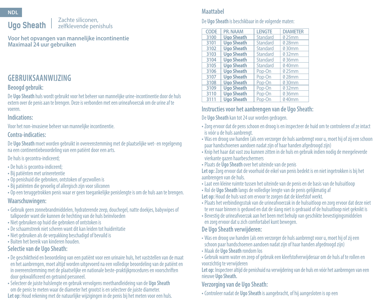#### Zachte siliconen, zelfklevende penishuls **Ugo Sheath**

**Voor het opvangen van mannelijke incontinentie Maximaal 24 uur gebruiken**

# **GEBRUIKSAANWIJZING**

### **Beoogd gebruik:**

De **Ugo Sheath** huls wordt gebruikt voor het beheer van mannelijke urine-incontinentie door de huls extern over de penis aan te brengen. Deze is verbonden met een urineafvoerzak om de urine af te voeren.

#### **Indications:**

Voor het non-invasieve beheer van mannelijke incontinentie.

#### **Contra-indicaties:**

De **Ugo Sheath** moet worden gebruikt in overeenstemming met de plaatselijke wet- en regelgevng na een continentiebeoordeling van een patiënt door een arts.

#### De huls is gecontra-indiceerd;

- De huls is gecontra-indiceerd;
- Bij patiënten met urineretentie
- Op penishuid die gebroken, ontstoken of gezwollen is
- Bij patiënten die gevoelig of allergisch zijn voor siliconen
- Op een teruggetrokken penis waar er geen toegankelijke penislengte is om de huls aan te brengen.

# **Waarschuwingen:**

- Gebruik geen zonnebrandmiddelen, hydraterende zeep, douchegel, natte doekjes, babywipes of talkpoeder want die kunnen de hechting van de huls beïnvloeden
- Niet gebruiken op huid die gebroken of ontstoken is
- De schaamstreek niet scheren want dit kan leiden tot huidirritatie
- Niet gebruiken als de verpakking beschadigd of bevuild is
- Buiten het bereik van kinderen houden.

# **Selectie van de Ugo Sheath:**

- De geschiktheid en beoordeling van een patiënt voor een urinaire huls, het vaststellen van de maat en het aanbrengen, moet altijd worden uitgevoerd na een volledige beoordeling van de patiënt en in overeenstemming met de plaatselijke en nationale beste-praktijkprocedures en voorschriften door gekwalificeerd en getraind personeel.
- Selecteer de juiste hulslengte en gebruik vervolgens meethandleideing van de **Ugo Sheath** om de penis te meten waar de diameter het grootst is en selecteer de juiste diameter.

# **Let op:** Houd rekening met de natuurlijke wijzigingen in de penis bij het meten voor een huls.

# **Maattabel**

### De **Ugo Sheath** is beschikbaar in de volgende maten:

| CODE | PR. NAAM          | <b>LENGTE</b> | <b>DIAMETER</b> |
|------|-------------------|---------------|-----------------|
| 3100 | <b>Ugo Sheath</b> | Standard      | 025mm           |
| 3101 | <b>Ugo Sheath</b> | Standard      | 028mm           |
| 3102 | <b>Ugo Sheath</b> | Standard      | 030mm           |
| 3103 | <b>Ugo Sheath</b> | Standard      | 032mm           |
| 3104 | <b>Ugo Sheath</b> | Standard      | 036mm           |
| 3105 | <b>Ugo Sheath</b> | Standard      | 040mm           |
| 3106 | <b>Ugo Sheath</b> | Pop-On        | 025mm           |
| 3107 | <b>Ugo Sheath</b> | Pop-On        | 028mm           |
| 3108 | <b>Ugo Sheath</b> | Pop-On        | 030mm           |
| 3109 | <b>Ugo Sheath</b> | Pop-On        | 032mm           |
| 3110 | <b>Ugo Sheath</b> | Pop-On        | 036mm           |
| 3111 | <b>Ugo Sheath</b> | Pop-On        | 040mm           |

# **Instructies voor het aanbrengen van de Ugo Sheath:**

De **Ugo Sheath** kan tot 24 uur worden gedragen.

- Zorg ervoor dat de pens schoon en droog is en inspecteer de huid om te controleren of ze intact is vóór u de huls aanbrengt.
- Was en droog uw handen (als een verzorger de huls aanbrengt voor u, moet hij of zij een schoon paar handschoenen aandoen nadat zijn of haar handen afgedroogd zijn)
- Knip het haar dat vast zou kunnen zitten in de huls en gebruik indien nodig de meegeleverde vierkante gazen haarbeschermers
- •Plaats de **Ugo Sheath** over het uiteinde van de penis

**Let op:** Zorg ervoor dat de voorhuid de eikel van penis bedekt is en niet ingetrokken is bij het aanbrengen van de huls.

- Laat een kleine ruimte tussen het uiteinde van de penis en de basis van de hulsuitloop
- Rol de **Ugo Sheath** langs de volledige lengte van de penis gelijkmatig af
- **Let op:** Houd de huls vast om ervoor te zorgen dat de kleefstof werkt.
- •Plaats het verbindingsstuk van de urineafvoerzak in de hulsuitloop en zorg ervoor dat deze niet te ver naar binnen is geduwd en dat de slang niet is gedraaid of de hulsuitloop niet geknikt is
- Bevestig de urineafvoerzak aan het been met behulp van geschikte bevestigingsmiddelen en zorg ervoor dat u zich comfortabel kunt bewegen.

# **De Ugo Sheath verwijderen:**

- Was en droog uw handen (als een verzorger de huls aanbrengt voor u, moet hij of zij een schoon paar handschoenen aandoen nadat zijn of haar handen afgedroogd zijn)
- Maak de **Ugo Sheath** rondom los
- Gebruik warm water en zeep of gebruik een kleefstofverwijderaar om de huls af te rollen en voorzichtig te verwijderen

**Let op:** Inspecteer altijd de penishuid na verwijdering van de huls en vóór het aanbrengen van een nieuwe **Ugo Sheath.**

# **Verzorging van de Ugo Sheath:**

• Controleer nadat de **Ugo Sheath** is aangebracht, of hij aangesloten is op een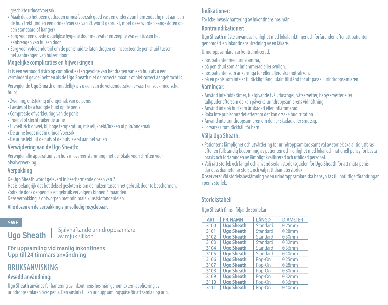geschikte urineafvoerzak

- Maak de op het been gedragen urineafvoerzak goed vast en ondersteun hem zodat hij niet aan aan de huls trekt (indien een urineafvoerzak van 2L wordt gebruikt, moet deze worden aangesloten op een standaard of hanger)
- Zorg voor een goede dagelijkse hygiëne door met water en zeep te wassen tussen het aanbrengen van hulzen door
- Zorg voor voldoende tijd om de penishuid te laten drogen en inspecteer de penishuid tussen het aanbrengen van hulzen door

### **Mogelijke complicaties en bijwerkingen:**

Er is een verhoogd risico op complicaties ten gevolge van het dragen van een huls als u een verminderd gevoel hebt en als de **Ugo Sheath** niet de correcte maat is of niet correct aangebracht is

Verwijder de **Ugo Sheath** onmiddellijk als u een van de volgende zaken ervaart en zoek medische hulp;

- Zwelling, ontsteking of ongemak van de penis
- Laesies of beschadigde huid op de penis
- Compressie of verkleuring van de penis
- Troebel of slecht ruikende urine
- U voelt zich onwel, bij hoge temperatuur, misselijkheid/braken of pijn/ongemak
- De urine loopt niet in urineafvoerzak
- De urine lekt uit de huls of de huls is eraf aan het vallen

### **Verwijdering van de Ugo Sheath:**

Verwijder alle apparatuur van huls in overeenstemming met de lokale voorschriften voor afvalverwerking.

### **Verpakking :**

De **Ugo Sheath** wordt geleverd in beschermende dozen van 7. Het is belangrijk dat het deksel gesloten is om de hulzen tussen het gebruik door te beschermen. Zodra de doos geopend is en gebruik vervolgens binnen 3 maanden. Deze verpakking is ontworpen met minimale kunststofonderdelen.

### **Alle dozen en de verpakking zijn volledig recyclebaar.**

### **SWE**

**Ugo Sheath**

Självhäftande urindroppsamlare av mjuk silikon

**För uppsamling vid manlig inkontinens Upp till 24 timmars användning** 

# **BRUKSANVISNING**

### **Avsedd användning:**

**Ugo Sheath** används för hantering av inkontinens hos män genom extern applicering av urindroppsamlaren över penis. Den ansluts till en urinuppsamlingspåse för att samla upp urin.

### **Indikationer:**

För icke-invasiv hantering av inkontinens hos män.

### **Kontraindikationer:**

**Ugo Sheath** måste användas i enlighet med lokala riktlinjer och förfaranden efter att patienten genomgått en inkontinensutredning av en läkare.

Urindroppsamlaren är kontraindicerad:

- hos patienter med urinstämma,
- •på penishud som är inflammerad eller svullen,
- hos patienter som är känsliga för eller allergiska mot silikon,
- •på en penis som inte är tillräckligt lång i slakt tillstånd för att passa i urindroppsamlaren. **Varningar:**
- Använd inte fuktkrämer, fuktgivande tvål, duschgel, våtservetter, babyservetter eller talkpuder eftersom de kan påverka urindroppsamlarens vidhäftning.
- Använd inte på hud som är skadad eller inflammerad.
- Raka inte pubisområdet eftersom det kan orsaka hudirritation.
- Använd inte urindroppsamlaren om den är skadad eller smutsig.
- Förvaras utom räckhåll för barn.

### **Välja Ugo Sheath:**

- •Patientens lämplighet och utvärdering för urindroppsamlare samt val av storlek ska alltid utföras efter en fullständig bedömning av patienten och i enlighet med lokal och nationell policy för bästa praxis och förfaranden av lämpligt kvalificerad och utbildad personal.
- Välj rätt storlek och längd och använd sedan storleksguiden för **Ugo Sheath** för att mäta penis där dess diameter är störst, och välj rätt diameterstorlek.

**Observera**: Vid storleksbestämning av en urindroppsamlare ska hänsyn tas till naturliga förändringar i penis storlek.

# **Storlekstabell**

#### **Ugo Sheath** finns i följande storlekar:

| ART. | PR. NAMN          | LÄNGD    | <b>DIAMETER</b> |
|------|-------------------|----------|-----------------|
| 3100 | <b>Ugo Sheath</b> | Standard | 025mm           |
| 3101 | <b>Ugo Sheath</b> | Standard | 028mm           |
| 3102 | <b>Ugo Sheath</b> | Standard | 030mm           |
| 3103 | <b>Ugo Sheath</b> | Standard | 032mm           |
| 3104 | <b>Ugo Sheath</b> | Standard | 036mm           |
| 3105 | <b>Ugo Sheath</b> | Standard | 040mm           |
| 3106 | <b>Ugo Sheath</b> | Pop-On   | 025mm           |
| 3107 | <b>Ugo Sheath</b> | Pop-On   | 028mm           |
| 3108 | <b>Ugo Sheath</b> | Pop-On   | 030mm           |
| 3109 | <b>Ugo Sheath</b> | Pop-On   | 032mm           |
| 3110 | <b>Ugo Sheath</b> | Pop-On   | 036mm           |
| 3111 | <b>Ugo Sheath</b> | Pop-On   | 040mm           |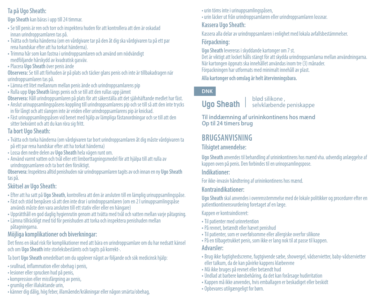# **Ta på Ugo Sheath:**

**Ugo Sheath** kan bäras i upp till 24 timmar.

- Se till penis är ren och torr och inspektera huden för att kontrollera att den är oskadad innan urindroppsamlaren tas på.
- Tvätta och torka händerna (om en vårdgivare tar på den åt dig ska vårdgivaren ta på ett par rena handskar efter att ha torkat händerna).
- Trimma hår som kan fastna i urindroppsamlaren och använd om nödvändigt medföljande hårskydd av kvadratisk gasväv.
- •Placera **Ugo Sheath** över penis ände

**Observera:** Se till att förhuden är på plats och täcker glans penis och inte är tillbakadragen när urindroppsamlaren tas på.

- Lämna ett litet mellanrum mellan penis ände och urindroppsamlarens pip
- Rulla upp **Ugo Sheath** längs penis och se till att den rullas upp jämnt

**Observera:** Håll urindroppsamlaren på plats för att säkerställa att det självhäftande medlet har fäst.

- Anslut urinuppsamlingspåsens koppling till urindroppsamlarens pip och se till så att den inte trycks in för långt och att slangen inte är vriden eller urindroppsamlarens pip är knickad.
- Fäst urinuppsamlingspåsen vid benet med hjälp av lämpliga fästanordningar och se till att den sitter bekvämt och att du kan röra sig fritt.

### **Ta bort Ugo Sheath:**

- Tvätta och torka händerna (om vårdgivaren tar bort urindroppsamlaren åt dig måste vårdgivaren ta på ett par rena handskar efter att ha torkat händerna)<br>• Lossa den nedre delen av Ugo Sheath hela vägen runt om.
- 
- Lossa den nedre delen av **Ugo Sheath** hela vägen runt om. Använd varmt vatten och tvål eller ett limborttagningsmedel för att hjälpa till att rulla av urindroppsamlaren och ta bort den försiktigt.

**Observera:** Inspektera alltid penishuden när urindroppsamlaren tagits av och innan en ny **Ugo Sheath** tas på.

### **Skötsel av Ugo Sheath:**

- Efter att ha satt på **Ugo Sheath**, kontrollera att den är ansluten till en lämplig urinuppsamlingspåse.
- Fäst och stöd benpåsen så att den inte drar i urindroppsamlaren (om en 2 l urinuppsamlingspåse används måste den vara ansluten till ett stativ eller eller en hängare)
- Upprätthåll en god daglig hygienrutin genom att tvätta med tvål och vatten mellan varje påtagning.
- Lämna tillräckligt med tid för penishuden att torka och inspektera penishuden mellan påtagningarna.

# **Möjliga komplikationer och biverkningar:**

Det finns en ökad risk för komplikationer med att bära en urindroppsamlare om du har nedsatt känsel och om **Ugo Sheath** inte storleksbestämts och tagits på korrekt-.

Ta bort **Ugo Sheath** omedelbart om du upplever något av följande och sök medicinsk hjälp:

- svullnad, inflammation eller obehag i penis,
- lesioner eller sprucken hud på penis,
- kompression eller missfärgning av penis,
- grumlig eller illaluktande urin,
- känner dig dålig, hög feber, illamående/kräkningar eller någon smärta/obehag,

• urin töms inte i urinuppsamlingspåsen,

• urin läcker ut från urindroppsamlaren eller urindroppsamlaren lossnar.

# **Kassera Ugo Sheath:**

Kassera alla delar av urindroppsamlaren i enlighet med lokala avfallsbestämmelser.

# **Förpackning:**

**Ugo Sheath** levereras i skyddande kartonger om 7 st. Det är viktigt att locket hålls stängt för att skydda urindroppsamlarna mellan användningarna. När kartongen öppnats ska innehållet användas inom tre (3) månader. Förpackningen har utformats med minimalt innehåll av plast.

**Alla kartonger och omslag är helt återvinningsbara.**

# **DNK**

blød silikone , selvklæbende peniskappe **Ugo Sheath**

**Til inddæmning af urininkontinens hos mænd Op til 24 timers brug**

# **BRUGSANVISNING**

# **Tilsigtet anvendelse:**

**Ugo Sheath** anvendes til behandling af urininkontinens hos mænd vha. udvendig anlæggelse af kappen oven på penis. Den forbindes til en urinopsamlingspose.

### **Indikationer:**

For ikke-invasiv håndtering af urininkontinens hos mænd.

# **Kontraindikationer:**

**Ugo Sheath** skal anvendes i overensstemmelse med de lokale politikker og procedurer efter en patientkontinensvurdering foretaget af en læge.

Kappen er kontraindiceret:

- Til patienter med urinretention
- •På revnet, betændt eller hævet penishud
- Til patienter, som er overfølsomme eller allergiske overfor silikone
- •På en tilbagetrukket penis, som ikke er lang nok til at passe til kappen.

### **Advarsler:**

- Brug ikke fugtighedscreme, fugtgivende sæbe, showergel, vådservietter, baby-vådservietter eller talkum, da de kan påvirke kappens klæbeevne
- Må ikke bruges på revnet eller betændt hud
- Undlad at barbere kønsbehåring, da det kan forårsage hudirritation
- Kappen må ikke anvendes, hvis emballagen er beskadiget eller beskidt
- Opbevares utilgængeligt for børn.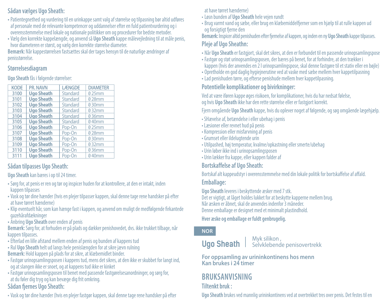# **Sådan vælges Ugo Sheath:**

- •Patientegnethed og vurdering til en urinkappe samt valg af størrelse og tilpasning bør altid udføres af personale med de relevante kompetencer og uddannelser efter en fuld patientvurdering og i overensstemmelse med lokale og nationale politikker om og procedurer for bedste metoder.
- Vælg den korrekte kappelængde, og anvend så **Ugo Sheath** kappe målevejledning til at måle penis, hvor diameteren er størst, og vælg den korrekte størrelse diameter.

**Bemærk:** Når kappestørrelsen fastsættes skal der tages hensyn til de naturlige ændringer af penisstørrelse.

### **Størrelsesdiagram**

#### **Ugo Sheath** fås i følgende størrelser:

| <b>KODE</b> | PR. NAVN          | <b>LÆNGDE</b> | <b>DIAMETER</b> |
|-------------|-------------------|---------------|-----------------|
| 3100        | <b>Ugo Sheath</b> | Standard      | 025mm           |
| 3101        | <b>Ugo Sheath</b> | Standard      | 028mm           |
| 3102        | <b>Ugo Sheath</b> | Standard      | 030mm           |
| 3103        | <b>Ugo Sheath</b> | Standard      | 032mm           |
| 3104        | <b>Ugo Sheath</b> | Standard      | 036mm           |
| 3105        | <b>Ugo Sheath</b> | Standard      | 040mm           |
| 3106        | <b>Ugo Sheath</b> | Pop-On        | 025mm           |
| 3107        | <b>Ugo Sheath</b> | Pop-On        | 028mm           |
| 3108        | <b>Ugo Sheath</b> | Pop-On        | 030mm           |
| 3109        | <b>Ugo Sheath</b> | Pop-On        | 032mm           |
| 3110        | <b>Ugo Sheath</b> | Pop-On        | 036mm           |
| 3111        | <b>Ugo Sheath</b> | Pop-On        | 040mm           |

# **Sådan tilpasses Ugo Sheath:**

#### **Ugo Sheath** kan bæres i op til 24 timer.

- Sørg for, at penis er ren og tør og inspicer huden for at kontrollere, at den er intakt, inden kappen tilpasses
- Vask og tør dine hænder (hvis en plejer tilpasser kappen, skal denne tage rene handsker på efter at have tørret hænderne)
- Klip eventuelt hår, som kan hænge fast i kappen, og anvend om muligt de medfølgende firkantede gazehårafdækninger
- Anbring **Ugo Sheath** over enden af penis

**Bemærk:** Sørg for, at forhuden er på plads og dækker penishovedet, dvs. ikke trukket tilbage, når kappen tilpasses.

- Efterlad en lille afstand mellem enden af penis og bunden af kappens tud
- Rul **Ugo Sheath** helt ud langs hele penislængden for at sikre jævn rulning
- **Bemærk:** Hold kappen på plads for at sikre, at klæbemidlet binder.
- Fastgør urinopsamlingsposen i kappens tud, mens det sikres, at den ikke er skubbet for langt ind,
- og at slangen ikke er snoet, og at kappens tud ikke er kinket
- Fastgør urinopsamlingsposen til benet med passende fastgørelsesanordninger, og sørg for, at du føler dig tryg og kan bevæge dig frit omkring.

# **Sådan fjernes Ugo Sheath:**

• Vask og tør dine hænder (hvis en plejer fastgør kappen, skal denne tage rene handsker på efter

### at have tørret hænderne)

- Løsn bunden af **Ugo Sheath** hele vejen rundt
- Brug varmt vand og sæbe, eller brug en klæbemiddelfjerner som en hjælp til at rulle kappen ud og forsigtigt fjerne den

**Bemærk:** Inspicer altid penishuden efter fjernelse af kappen, og inden en ny **Ugo Sheath** kappe tilpasses. **Pleje af Ugo Sheathn:**

- Når **Ugo Sheath** er fastgjort, skal det sikres, at den er forbundet til en passende urinopsamlingspose
- Fastgør og støt urinopsamlingsposen, der bæres på benet, for at forhindre, at den trækker i kappen (hvis der anvendes en 2 l urinopsamlingspose, skal denne fastgøre til et stativ eller en bøjle)
- Opretholde en god daglig hygiejnerutine ved at vaske med sæbe mellem hver kappetilpasning
- Lad penishuden tørre, og efterse penishude mellem hver kappetilpasning.

# **Potentielle komplikationer og bivirkninger:**

Ved at være iføren kappe øges risikoen, for komplikationer, hvis du har nedsat følelse, og hvis **Ugo Sheath** ikke har den rette størrelse eller er fastgjort korrekt.

Fjern omgående **Ugo Sheath** kappe, hvis du oplever noget af følgende, og søg omgående lægehjælp.

- SHævelse af, betændelse i eller ubehag i penis
- Læsioner eller revnet hud på penis
- Kompression eller misfarvning af penis
- Grumset eller ildelugtende urin
- Utilpashed, høj temperatur, kvalme/opkastning eller smerte/ubehag
- Urin løber ikke ind i urinopsamlingsposen
- Urin lækker fra kappe, eller kappen falder af

# **Bortskaffelse af Ugo Sheath:**

Bortskaf alt kappeudstyr i overensstemmelse med din lokale politik for bortskaffelse af affald. **Emballage:**

**Ugo Sheath** leveres i beskyttende æsker med 7 stk.

Det er vigtigt, at låget holdes lukket for at beskytte kapperne mellem brug. Når æsken er åbnet, skal de anvendes indenfor 3 måneder. Denne emballage er designet med et minimalt plastindhold.

# **Hver æske og emballage er fuldt genbrugelig.**

# **NOR**

# **Ugo Sheath**

#### Myk silikon , Selvklebende penisovertrekk

**For oppsamling av urininkontinens hos menn Kan brukes i 24 timer**

# **BRUKSANVISNING**

# **Tiltenkt bruk :**

**Ugo Sheath** brukes ved mannlig urininkontinens ved at overtrekket tres over penis. Det festes til en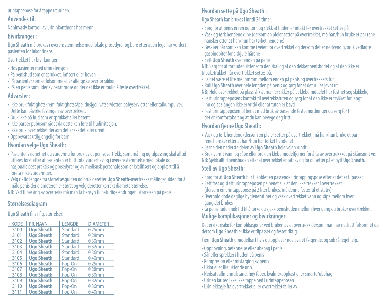#### urintappepose for å tappe ut urinen.

### **Anvendes til:**

Noninvasiv kontroll av urininkontinens hos menn.

# **Bivirkninger :**

**Ugo Sheath** må brukes i overensstemmelse med lokale prosedyrer og bare etter at en lege har vurdert pasienten for inkontinens.

Overtrekket har bivirkninger:

- Hos pasienter med urinretensjon
- •På penishud som er sprukket, infisert eller hoven
- •På pasienter som er følsomme eller allergiske overfor silikon
- •På en penis som lider av parafimose og der det ikke er mulig å feste overtrekket.

# **Advarsler :**

- Ikke bruk fuktighetskrem, fuktighetssåpe, dusjgel, våtservietter, babyservietter eller talkumpulver. Dette kan påvirke festingen av overtrekket.
- Bruk ikke på hud som er sprukket eller betent
- Ikke barber pubusområdet da dette kan føre til hudirritasjon.
- Ikke bruk overtrekket dersom det er skadet eller urent.
- Oppbevares utilgjengelig for barn.

# **Hvordan velge Ugo Sheath:**

- •Pasientens egnethet og vurdering for bruk av et penisovertrekk, samt måling og tilpassing skal alltid utføres først etter at pasienten er blitt totalvurdert av og i overensstemmelse med lokale og nasjonale best praksis og prosedyrer og av medisnsk personale som er kvalifisert og opplært til å foreta slike vurderinger.
- Velg riktig lengde fra størrelsesguiden og bruk deretter **Ugo Sheath**-overtrekks målingsguiden for å måle penis der diameteren er størst og velg deretter korrekt diameterstørrelse. **NB:** Ved tilpassing av overtrekk må man ta hensyn til naturlige endringer i størrelsen på penis.

# **Størrelsesdiagram**

# **Ugo Sheath** fins i flg. størrelser:

| <b>KODE</b> | PR. NAVN          | <b>LENGDE</b> | <b>DIAMETER</b> |
|-------------|-------------------|---------------|-----------------|
| 3100        | <b>Ugo Sheath</b> | Standard      | 025mm           |
| 3101        | <b>Ugo Sheath</b> | Standard      | 028mm           |
| 3102        | <b>Ugo Sheath</b> | Standard      | 030mm           |
| 3103        | <b>Ugo Sheath</b> | Standard      | 032mm           |
| 3104        | <b>Ugo Sheath</b> | Standard      | 036mm           |
| 3105        | <b>Ugo Sheath</b> | Standard      | 040mm           |
| 3106        | <b>Ugo Sheath</b> | Pop-On        | 025mm           |
| 3107        | <b>Ugo Sheath</b> | Pop-On        | 028mm           |
| 3108        | <b>Ugo Sheath</b> | Pop-On        | 030mm           |
| 3109        | <b>Ugo Sheath</b> | Pop-On        | 032mm           |
| 3110        | <b>Ugo Sheath</b> | Pop-On        | 036mm           |
| 3111        | <b>Ugo Sheath</b> | Pop-On        | 040mm           |

# **Hvordan sette på Ugo Sheath :**

# **Ugo Sheath** kan brukes i inntil 24 timer.

- Sørg for at penis er ren og tørr, og sjekk at huden er intakt før overtrekket settes på
- Vask og tørk hendene dine (dersom en pleier setter på overtrekket, må han/hun bruke et par rene hansker etter at han/hun har tørket hendene)
- Beskjær hår som kan komme i veien for overtrekket og dersom det er nødvendig, bruk vedlagte gasbindbiter for å skjule hårene
- Sett **Ugo Sheath** over enden på penis

**NB:** Sørg for at forhuden sitter som den skal og at den dekker penishodet og at den ikke er tilbaketrukket når overtrekket settes på.

- La det være et lite mellomrom mellom enden på penis og overtrekkets tut
- Rull **Ugo Sheath** over hele lengden på penis og sørg for at det rulles jevnt ut
- **NB:** Hold overtrekket på plass slik at man er sikker på at klebemiddelet har festnet seg skikkelig.
- Fest urintappeposens kontakt til ovetrekkstuten og sørg for at den ikke er trykket for langt inn og at slangen ikke er vridd eller at tuten er bøyd
- Fest urintappeposen til benet med bruk av passende festeanordninger og sørg for t det er komfortabelt og at du kan bevege deg fritt.

# **Hvordan fjerne Ugo Sheath:**

- Vask og tørk hendene (dersom en pleier setter på overtrekket, må han/hun bruke et par rene hansker etter at han/hun har tørket hendene)
- Løsne den nederste delen av **Ugo Sheath** hele veien rundt
- Bruk varmt vann og såpe eller bruk en klebemiddelfjerner for å ta av overtrekkket på skånsomt vis **NB:** Sjekk alltid penishuden etter at overtrekket er tatt av og før du setter på et nytt **Ugo Sheath.**

# **Stell av Ugo Sheath:**

- Sørg for at **Ugo Sheath** blir tilkoblet en passende urintappingspose etter at det er tilpasset
- Sett fast og støtt urintappeposen på benet slik at den ikke trekker i overtrekket
- (dersom en urintappepose på 2 liter brukes, må denne festes til et stativ)
- Overhold gode daglige hygienerutiner og vask overtrekket vann og såpe mellom hver gang det brukes
- Gi penishuden nok tid til å tørke og sjekk penishuden mellom hver gang du bruker overrtrekket. **Mulige komplikasjoner og bivirkninger:**

Det er økt risiko for komplikasjoner ved bruken av et overtrekk dersom man har nedsatt følsomhet og dersom **Ugo Sheath** er ikke er tilpasset og festet riktig.

Fjern **Ugo Sheath** umiddelbart hvis du opplever noe av det følgende, og søk så legehjelp.

- Opphovning, betennelse eller ubehag i penis
- Sår eller sprekker i huden på penis
- Kompresjon eller misfarging av penis
- Uklar eller illeluktende urin.
- Nedsatt allmenntilstand, høy feber, kvalme/oppkast eller smerte/ubehag
- Urinen lar seg ikke ikke tappe ned i urintappeposen
- Urinlekkasje fra overtrekket eller overtrekket faller av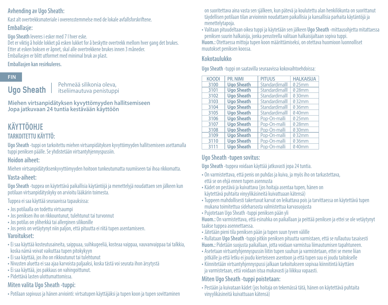### **Avhending av Ugo Sheath:**

Kast alt overtrekksmateriale i overensstemmelse med de lokale avfallsforskriftene. **Emballasje:**

**Ugo Sheath** leveres i esker med 7 I hver eske.

Det er viktig å holde lokket på esken lukket for å beskytte overtrekk mellom hver gang det brukes. Etter at esken boksen er åpnet, skal alle overtrekkene brukes innen 3 måneder. Emballasjen er blitt utformet med minimal bruk av plast.

### **Emballasjen kan resirkuleres.**

# **FIN**

**Ugo Sheath**

Pehmeää silikonia oleva, itseliimautuva penistuppi

**Miehen virtsanpidätyksen kyvyttömyyden hallitsemiseen Jopa jatkuvaan 24 tuntia kestävään käyttöön** 

# **KÄYTTÖOHJE**

# **TARKOITETTU KÄYTTÖ:**

**Ugo Sheath** -tuppi on tarkoitettu miehen virtsanpidätyksen kyvyttömyyden hallitsemiseen asettamalla tuppi peniksen päälle. Se yhdistetään virtsantyhjennyspussiin.

# **Hoidon aiheet:**

Miehen virtsanpidätytksenkyvyttömyyden hoitoon tunkeutumatta ruumiiseen tai ihoa rikkomatta. **Vasta-aiheet:**

**Ugo Sheath** -tuppea on käytettävä paikallisia käytäntöjä ja menettelyjä noudattaen sen jälkeen kun potilaan virtsanpidätyskyky on arvioitu lääkärin toimesta.

Tuppea ei saa käyttää seuraavissa tapauksissa:

- Jos potilaalla on todettu virtsaumpi
- Jos peniksen iho on rikkountunut, tulehtunut tai turvonnut
- Jos potilas on yliherkkä tai allerginen silikonille
- Jos penis on vetäytynyt niin paljon, että pituutta ei riitä tupen asentamiseen.

# **Varoitukset:**

- Ei saa käyttää kosteutusaineita, saippuaa, suihkugeeliä, kosteaa vaippaa, vauvanvaippaa tai talkkia, koska nämä voivat vaikuttaa tupen pitokykyyn
- Ei saa käyttää, jos iho on rikkoutunut tai tulehtunut
- Nivusten aluetta ei saa ajaa karvoista paljaaksi, koska tästä voi seurata ihon ärsytystä
- Ei saa käyttää, jos pakkaus on vahingoittunut.
- •Pidettävä lasten ulottumattomissa.

# **Miten valita Ugo Sheath -tuppi:**

•Potilaan sopivuus ja hänen arviointi: virtsatupen käyttäjäksi ja tupen koon ja tupen sovittaminen

on suoritettava aina vasta sen själkeen, kun pätevä ja koulutettu alan henkilökunta on suorittanut täydellisen potilaan tilan arvioinnin noudattaen paikallisia ja kansallisia parhaita käytäntöjä ja menettelytapoja.

• Valitaan pituudeltaan oikea tuppi ja käytetään sen jälkeen **Ugo Sheath** -mittausohjetta mitattaessa peniksen suurin halkaisija, jonka perusteella valitaan halkaisijaltaan sopiva tuppi. **Huom.:** Otettaessa mittoja tupen koon määrittämiseksi, on otettava huomioon luonnolliset muutokset peniksen koossa.

### **Kokotaulukko**

**Ugo Sheath** -tuppi on saatavilla seuraavissa kokovaihtoehdoissa:

| PR. NIMI          | <b>PITUUS</b>  | <b>HALKAISUA</b> |
|-------------------|----------------|------------------|
| <b>Ugo Sheath</b> | Standardimalll | 025mm            |
| <b>Ugo Sheath</b> | Standardimalll | 028mm            |
| <b>Ugo Sheath</b> | Standardimall  | 030mm            |
| <b>Ugo Sheath</b> | Standardimall  | 032mm            |
| <b>Ugo Sheath</b> | Standardimalll | 036mm            |
| <b>Ugo Sheath</b> | Standardimall  | 040mm            |
| <b>Ugo Sheath</b> | Pop-On-malli   | 025mm            |
| <b>Ugo Sheath</b> | Pop-On-malli   | 028mm            |
| <b>Ugo Sheath</b> | Pop-On-malli   | 030mm            |
| <b>Ugo Sheath</b> | Pop-On-malli   | 032mm            |
| <b>Ugo Sheath</b> | Pop-On-malli   | 036mm            |
| <b>Ugo Sheath</b> | Pop-On-malli   | 040mm            |
|                   |                |                  |

# **Ugo Sheath -tupen sovitus:**

**Ugo Sheath** -tuppea voidaan käyttää jatkuvasti jopa 24 tuntia.

- On varmistettava, että penis on puhdas ja kuiva, ja myös iho on tarkastettava, että se on ehjä ennen tupen asennusta
- Kädet on pestävä ja kuivattava (jos hoitaja asentaa tupen, hänen on käytettävä puhtaita vinyylikäsineitä kuivattuaan kätensä)
- Tuppeen mahdollisesti takertuvat karvat on leikattava pois ja tarvittaessa on käytettävä tupen mukana toimitettua sideharsosta valmistettua karvasuojusta
- •Pujotetaan Ugo Sheath -tuppi peniksen pään yli

**Huom.:** On varmistettava, että esinahka on paikallaan ja peittää peniksen ja ettei se ole vetäytynyt taakse tuppea asennettaessa.

- Jätetään pieni tila peniksen pään ja tupen suun tyven välille
- Rullataan **Ugo Sheath** -tuppi pitkin peniksen pituutta varmistaen, että se rullautuu tasaisesti **Huom.:** Pidetään suojusta paikallaan, jotta voidaan varmistua liimautumisen tapahtuneen.
- Asetetaan virtsantyhjennyspussin liitin tupen suuhun ja varmistetaan, ettei se mene liian pitkälle ja että letku ei joudu kierteiseen asentoon ja että tupen suu ei joudu taitokselle
- Kiinnitetään virtsantyhjennyspussi jalkaan tarkoitukseen sopivaa kiinnitintä käyttäen ja varmistetaan, että voidaan istua mukavasti ja liikkua vapaasti.

# **Miten Ugo Sheath -tuppi poistetaan:**

• Pestään ja kuivataan kädet (jos hoitaja on tekemässä tätä, hänen on käytettävä puhtaita vinyylikäsineitä kuivattuaan kätensä)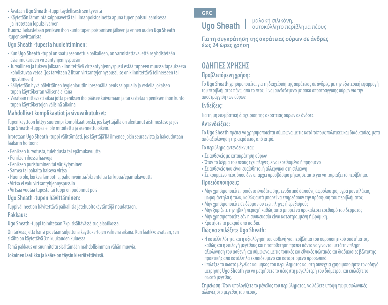- Avataan **Ugo Sheath** -tuppi täydellisesti sen tyvestä
- Käytetään lämmintä saippuavettä tai liimanpoistoainetta apuna tupen poisrullaamisessa ja irrotetaan lopuksi varoen

**Huom.:** Tarkastetaan peniksen ihon kunto tupen poistamisen jälkeen ja ennen uuden **Ugo Sheath** -tupen sovittamista**.**

# **Ugo Sheath -tupesta huolehtiminen:**

- Kun **Ugo Sheath** -tuppi on saatu asennettua paikalleen, on varmistettava, että se yhdistetään asianmukaiseen virtsantyhjennyspussiin
- Turvallinen ja tukeva jalkaan kiinnitettävä virtsantyhjennyspussi estää tuppeen muussa tapauksessa kohdistuvaa vetoa (jos tarvitaan 2 litran virtsantyjennyspussi, se on kiinnitettävä telineeseen tai ripustimeen)
- Säilytetään hyvä päivittäinen hygieniarutiini pesemällä penis saippualla ja vedellä jokaisen tupen käyttökerran välisenä aikana
- Varataan riittävästi aikaa jotta peniksen iho pääsee kuivumaan ja tarkastetaan peniksen ihon kunto tupen käyttökertojen välisinä aikoina

# **Mahdolliset komplikaatiot ja sivuvaikutukset:**

Tupen käyttöön liittyy suurempi komplikaatioriski, jos käyttäjällä on alentunut aistimustaso ja jos **Ugo Sheath** -tuppea ei ole mitoitettu ja asennettu oikein.

Irrotetaan **Ugo Sheath** -tuppi välittömästi, jos käyttäjä'llä ilmenee jokin seuraavista ja hakeudutaan lääkärin hoitoon:

- Peniksen turvotusta, tulehdusta tai epämukavuutta
- Peniksen ihossa haavoja
- Peniksen puristuminen tai värjäytyminen
- Samea tai pahalta haiseva virtsa
- Huono olo, korkea lämpötila, pahoinvointia/oksentelua tai kipua/epämukavuutta
- Virtsa ei valu virtsantyhjennyspussiin
- Virtsaa vuotaa tupesta tai tuppi on pudonnut pois

# **Ugo Sheath -tupen hävittäminen:**

Tuppivälineet on hävitettävä paikallisia jätehuoltokäytäntöjä noudattaen.

# **Pakkaus:**

**Ugo Sheath** -tuppi toimitetaan 7kpl sisältävässä suojalaatikossa.

On tärkeää, että kansi pidetään suljettuna käyttökertojen välisenä aikana. Kun laatikko avataan, sen sisältö on käytettävä 3:n kuukauden kuluessa.

Tämä pakkaus on suunniteltu sisältämään mahdollisimman vähän muovia.

**Jokainen laatikko ja kääre on täysin kierrätettävissä**.

# **GRC**

# **Ugo Sheath**

#### μαλακή σιλικόνη, αυτοκόλλητο περίβλημα πέους

**Για τη συγκράτηση της ακράτειας ούρων σε άνδρες έως 24 ώρες χρήση** 

# **ΟΔΗΓΙΕΣ ΧΡΗΣΗΣ**

# **Προβλεπόμενη χρήση:**

Το **Ugo Sheath** χρησιμοποιείται για τη διαχείριση της ακράτειας σε άνδρες, με την εξωτερική εφαρμογή του περιβλήματος πάνω από το πέος. Είναι συνδεδεμένο με σάκο αποστράγγισης ούρων για την αποστράγγιση των ούρων.

# **Ενδείξεις:**

Για τη μη επεμβατική διαχείριση της ακράτειας ούρων σε άνδρες. **Αντενδείξεις:**

Το **Ugo Sheath** πρέπει να χρησιμοποιείται σύμφωνα με τις κατά τόπους πολιτικές και διαδικασίες, μετά από αξιολόγηση της ακράτειας από ιατρό.

# Το περίβλημα αντενδείκνυται:

- Σε ασθενείς με κατακράτηση ούρων
- Όταν το δέρμα του πέους έχει πληγές, είναι ερεθισμένο ή πρησμένο
- Σε ασθενείς που είναι ευαίσθητοι ή αλλεργικοί στη σιλικόνη
- Σε κρυμμένο πέος όπου δεν υπάρχει προσβάσιμο μήκος σε αυτό για να ταιριάξει το περίβλημα. **Προειδοποιήσεις:**
- Μην χρησιμοποιείτε προϊόντα ενυδάτωσης, ενυδατικό σαπούνι, αφρόλουτρο, υγρά μαντηλάκια, μωρομάντηλα ή ταλκ, καθώς αυτά μπορεί να επηρεάσουν την πρόσφυση του περιβλήματος
- Μην χρησιμοποιείτε σε δέρμα που έχει πληγές ή ερεθισμούς
- Μην ξυρίζετε την ηβική περιοχή καθώς αυτό μπορεί να προκαλέσει ερεθισμό του δέρματος
- Μην χρησιμοποιείτε εάν η συσκευασία είναι κατεστραμμένη ή βρόμικη.
- Κρατήστε το μακριά από παιδιά.

# **Πώς να επιλέξετε Ugo Sheath:**

- Η καταλληλότητα και η αξιολόγηση του ασθενή για περίβλημα του ουροποιητικού συστήματος, καθώς και η επιλογή μεγέθους και η τοποθέτηση πρέπει πάντα να γίνονται μετά την πλήρη αξιολόγηση του ασθενή και σύμφωνα με τις τοπικές και εθνικές πολιτικές και διαδικασίες βέλτιστης πρακτικής από κατάλληλα εκπαιδευμένο και καταρτισμένο προσωπικό.
- Επιλέξτε το σωστό μέγεθος και μήκος του περιβλήματος και στη συνέχεια χρησιμοποιήστε τον οδηγό μέτρησης **Ugo Sheath** για να μετρήσετε το πέος στη μεγαλύτερή του διάμετρο, και επιλέξτε το σωστό μέγεθος.

**Σημείωση:** Όταν υπολογίζετε το μέγεθος του περιβλήματος, να λάβετε υπόψη τις φυσιολογικές αλλαγές στο μέγεθος του πέους.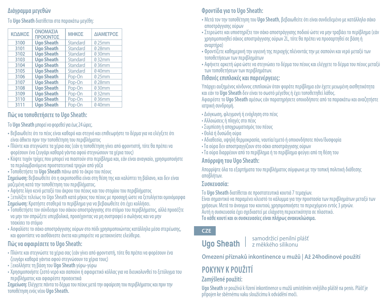# **Διάγραμμα μεγεθών**

Το **Ugo Sheath** διατίθεται στα παρακάτω μεγέθη:

| ΚΟΔΙΚΟΣ | ΟΝΟΜΑΣΙΑ<br>ΠΡΟΙΟΝΤΟΣ | ΜΗΚΟΣ    | ΔΙΑΜΕΤΡΟΣ |
|---------|-----------------------|----------|-----------|
| 3100    | <b>Ugo Sheath</b>     | Standard | 025mm     |
| 3101    | <b>Ugo Sheath</b>     | Standard | 028mm     |
| 3102    | <b>Ugo Sheath</b>     | Standard | 030mm     |
| 3103    | <b>Ugo Sheath</b>     | Standard | 032mm     |
| 3104    | <b>Ugo Sheath</b>     | Standard | 036mm     |
| 3105    | <b>Ugo Sheath</b>     | Standard | 040mm     |
| 3106    | <b>Ugo Sheath</b>     | Pop-On   | 025mm     |
| 3107    | <b>Ugo Sheath</b>     | Pop-On   | 028mm     |
| 3108    | <b>Ugo Sheath</b>     | Pop-On   | 030mm     |
| 3109    | <b>Ugo Sheath</b>     | Pop-On   | 032mm     |
| 3110    | <b>Ugo Sheath</b>     | Pop-On   | 036mm     |
| 3111    | <b>Ugo Sheath</b>     | Pop-On   | 040mm     |

# **Πώς να τοποθετήσετε το Ugo Sheath:**

### Το **Ugo Sheath** μπορεί να φορεθεί για έως 24 ώρες.

- Βεβαιωθείτε ότι το πέος είναι καθαρό και στεγνό και επιθεωρήστε το δέρμα για να ελέγξετε ότι είναι άθικτο πριν την τοποθέτηση του περιβλήματος
- Πλύντε και στεγνώστε τα χέρια σας (εάν η τοποθέτηση γίνει από φροντιστή, τότε θα πρέπει να φορέσουν ένα ζευγάρι καθαρά γάντια αφού στεγνώσουν τα χέρια τους)
- Κόψτε τυχόν τρίχες που μπορεί να πιαστούν στο περίβλημα και, εάν είναι αναγκαίο, χρησιμοποιήστε τα περιλαμβανόμενα προστατευτικά τριχών από γάζα
- Τοποθετήστε το **Ugo Sheath** πάνω από το άκρο του πέους
- **Σημείωση:** Βεβαιωθείτε ότι η ακροποσθία είναι στη θέση της και καλύπτει τη βάλανο, και δεν είναι μαζεμένη κατά την τοποθέτηση του περιβλήματος.
- Αφήστε λίγο κενό μεταξύ του άκρου του πέους και του στομίου του περιβλήματος
- Ξετυλίξτε τελείως το Ugo Sheath κατά μήκος του πέους με προσοχή ώστε να ξετυλίγεται ομοιόμορφα
- **Σημείωση:** Κρατήστε σταθερά το περίβλημα για να βεβαιωθείτε ότι έχει κολλήσει.
- Τοποθετήστε τον σύνδεσμο του σάκου αποστράγγισης στο στόμιο του περιβλήματος, αλλά προσέξτε να μην τον σπρώξετε υπερβολικά, προσέχοντας να μη συστραφεί ο σωλήνας και να μην τσακίσει το στόμιο
- Ασφαλίστε το σάκο αποστράγγισης ούρων στο πόδι χρησιμοποιώντας κατάλληλα μέσα στερέωσης, και φροντίστε να αισθάνεστε άνετα και μπορείτε να μετακινείστε ελεύθερα.

# **Πώς να αφαιρέσετε το Ugo Sheath:**

- Πλύντε και στεγνώστε τα χέρια σας (εάν γίνει από φροντιστή, τότε θα πρέπει να φορέσουν ένα ζευγάρι καθαρά γάντια αφού στεγνώσουν τα χέρια τους)
- Ξεκολλήστε τη βάση του **Ugo Sheath** γύρω-γύρω
- Χρησιμοποιήστε ζεστό νερό και σαπούνι ή αφαιρετικό κόλλας για να διευκολυνθεί το ξετύλιγμα του περιβλήματος και αφαιρέστε προσεκτικά

**Σημείωση:** Ελέγχετε πάντα το δέρμα του πέους μετά την αφαίρεση του περιβλήματος και πριν την τοποθέτηση ενός νέου **Ugo Sheath.**

# **Φροντίδα για το Ugo Sheath:**

- Μετά τον την τοποθέτηση του **Ugo Sheath**, βεβαιωθείτε ότι είναι συνδεδεμένο με κατάλληλο σάκο αποστράγγισης ούρων
- Στερεώστε και υποστηρίξτε τον σάκο αποστράγγισης ποδιού ώστε να μην τραβάει το περίβλημα (εάν χρησιμοποιηθεί σάκος αποστράγγισης ούρων 2L, τότε θα πρέπει να προσαρτηθεί σε βάση ή αναρτήρα)
- Φροντίζετε καθημερινή την υγιεινή της περιοχής πλένοντάς την με σαπούνι και νερό μεταξύ των τοποθετήσεων των περιβλημάτων
- Αφήνετε αρκετή ώρα ώστε να στεγνώσει το δέρμα του πέους και ελέγχετε το δέρμα του πέους μεταξύ των τοποθετήσεων των περιβλημάτων.

# **Πιθανές επιπλοκές και παρενέργειες:**

Υπάρχει αυξημένος κίνδυνος επιπλοκών όταν φοράτε περίβλημα εάν έχετε μειωμένη αισθητικότητα και εάν το **Ugo Sheath** δεν είναι το σωστό μέγεθος ή έχει τοποθετηθεί λάθος.

Αφαιρέστε το **Ugo Sheath** αμέσως εάν παρατηρήσετε οποιοδήποτε από τα παρακάτω και αναζητήστε ιατρική συνδρομή.

- Διόγκωση, φλεγμονή ή ενόχληση στο πέος
- Αλλοιώσεις ή πληγές στο πέος
- Συμπίεση ή αποχρωματισμός του πέους
- Θολά ή δυσώδη ούρα
- Αδιαθεσία, υψηλή θερμοκρασία, ναυτία/εμετό ή οποιονδήποτε πόνο/δυσφορία
- Τα ούρα δεν αποστραγγίζουν στο σάκο αποστράγγισης ούρων
- Τα ούρα διαρρέουν από το περίβλημα ή το περίβλημα φεύγει από τη θέση του

# **Απόρριψη του Ugo Sheath:**

Απορρίψτε όλα τα εξαρτήματα του περιβλήματος σύμφωνα με την τοπική πολιτική διάθεσης αποβλήτων.

# **Συσκευασία:**

Το **Ugo Sheath** διατίθεται σε προστατευτικά κουτιά 7 τεμαχίων.

Είναι σημαντικό να παραμένει κλειστό το κάλυμμα για την προστασία των περιβλημάτων μεταξύ των χρήσεων. Μετά το άνοιγμα του κουτιού, χρησιμοποιήστε το περιεχόμενο εντός 3 μηνών. Αυτή η συσκευασία έχει σχεδιαστεί με ελάχιστη περιεκτικότητα σε πλαστικό. **Το κάθε κουτί και οι συσκευασίες είναι πλήρως ανακυκλώσιμα.**

# **CZE**

#### samodržicí penilní plášť z měkkého silikonu **Ugo Sheath**

**Omezení příznaků inkontinence u mužů | Až 24hodinové použití** 

# **POKYNY K POUŽITÍ**

# **Zamýšlené použití:**

**Ugo Sheath** se používá k řízení inkontinence u mužů umístěním vnějšího pláště na penis. Plášť je připojen ke sběrnému vaku sloužícímu k odvádění moči.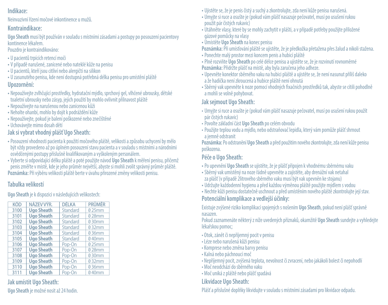### **Indikace:**

Neinvazivní řízení močové inkontinence u mužů.

### **Kontraindikace:**

**Ugo Sheath** musí být používán v souladu s místními zásadami a postupy po posouzení pacientovy kontinence lékařem.

Pouzdro je kontraindikováno:

- U pacientů trpících retencí moči
- V případě narušené, zanícené nebo nateklé kůže na penisu
- U pacientů, kteří jsou citliví nebo alergičtí na silikon
- U zasunutého penisu, kde není dostupná potřebná délka penisu pro umístění pláště **Upozornění:**
- Nepoužívejte zvlhčující prostředky, hydratační mýdlo, sprchový gel, vlhčené ubrousky, dětské toaletní ubrousky nebo zásyp, jejich použití by mohlo ovlivnit přilnavost pláště
- Nepoužívejte na narušenou nebo zanícenou kůži
- Neholte ohanbí, mohlo by dojít k podráždění kůže
- Nepoužívejte, pokud je balení poškozené nebo znečištěné
- Uchovávejte mimo dosah dětí

### **Jak si vybrat vhodný plášť Ugo Sheath:**

- •Posouzení vhodnosti pacienta k použití močového pláště, velikosti a způsobu uchycení by mělo být vždy provedeno až po úplném posouzení stavu pacienta a v souladu s místními a národními osvědčenými postupy příslušně kvalifikovaným a vyškoleným personálem.
- Vyberte si odpovídající délku pláště a poté použijte návod **Ugo Sheath** k měření penisu, přičemž penis změřte v místě, kde je jeho průměr největší, abyste si mohli zvolit správný průměr pláště. **Poznámka:** Při výběru velikosti pláště berte v úvahu přirozené změny velikosti penisu.

### **Tabulka velikostí**

**Ugo Sheath** je k dispozici v následujících velikostech:

| NÁZEV VÝR.        | <b>DÉLKA</b> | <b>PRŮMĚR</b> |
|-------------------|--------------|---------------|
| <b>Ugo Sheath</b> | Standard     | 025mm         |
| <b>Ugo Sheath</b> | Standard     | 028mm         |
| <b>Ugo Sheath</b> | Standard     | 030mm         |
| <b>Ugo Sheath</b> | Standard     | 032mm         |
| <b>Ugo Sheath</b> | Standard     | 036mm         |
| <b>Ugo Sheath</b> | Standard     | 040mm         |
| <b>Ugo Sheath</b> | Pop-On       | 025mm         |
| <b>Ugo Sheath</b> | Pop-On       | 028mm         |
| <b>Ugo Sheath</b> | Pop-On       | 030mm         |
| <b>Ugo Sheath</b> | Pop-On       | 032mm         |
| <b>Ugo Sheath</b> | Pop-On       | 036mm         |
| <b>Ugo Sheath</b> | Pop-On       | 040mm         |
|                   |              |               |

# **Jak umístit Ugo Sheath:**

**Ugo Sheath** je možné nosit až 24 hodin.

- Ujistěte se, že je penis čistý a suchý a zkontrolujte, zda není kůže penisu narušená.
- Umyjte si ruce a osušte je (pokud vám plášť nasazuje pečovatel, musí po usušení rukou použít pár čistých rukavic)
- Utáhněte vlasy, které by se mohly zachytit v plášti, a v případě potřeby použijte přiložené gázové pomůcky na vlasy
- Umístěte **Ugo Sheath** na konec penisu

**Poznámka:** Při umísťování pláště se ujistěte, že je předkožka přetažena přes žalud a nikoli stažena.

- •Ponechte malý prostor mezi koncem penis a hubicí pláště
- •Plně rozviňte **Ugo Sheath** po celé délce penisu a ujistěte se, že je rozvinutí rovnoměrné **Poznámka:** Přidržte plášť na místě, aby byla zaručena jeho adheze.
- Upevněte konektor sběrného vaku na hubici pláště a ujistěte se, že není nasunut příliš daleko a že hadička není zkroucená a hubice pláště není ohnutá
- Sběrný vak upevněte k noze pomocí vhodných fixačních prostředků tak, abyste se cítili pohodlně a mohli se volně pohybovat.

### **Jak sejmout Ugo Sheath:**

- Umyjte si ruce a osušte je (pokud vám plášť nasazuje pečovatel, musí po usušení rukou použít pár čistých rukavic)
- Povolte základní část **Ugo Sheath** po celém obvodu
- Použijte teplou vodu a mýdlo, nebo odstraňovač lepidla, který vám pomůže plášť shrnout a jemně odstranit

**Poznámka:** Po odstranění **Ugo Sheath** a před použitím nového zkontrolujte, zda není kůže penisu poškozena.

### **Péče o Ugo Sheath:**

- •Po upevnění **Ugo Sheath** se ujistěte, že je plášť připojen k vhodnému sběrnému vaku
- Sběrný vak umístěný na noze řádně upevněte a zajistěte, aby drenážní vak netahal za plášť (v případě 2litrového sběrného vaku musí být vak upevněn ke stojanu)
- Udržujte každodenní hygienu a před každou výměnou pláště použijte mýdlem s vodou
- Nechte kůži penisu dostatečně uschnout a před umístěním nového pláště zkontrolujte její stav.

### **Potenciální komplikace a vedlejší účinky:**

Existuje zvýšené riziko komplikací spojených s nošením **Ugo Sheath**, pokud není plášť správně nasazen.

Pokud zaznamenáte některý z níže uvedených příznaků, okamžitě **Ugo Sheath** sundejte a vyhledejte lékařskou pomoc;

- Otok, zánět či nepříjemný pocit v penisu
- Léze nebo narušená kůži penisu
- Komprese nebo změna barvy penisu
- Kalná nebo páchnoucí moč
- Nepříjemný pocit, zvýšená teplota, nevolnost či zvracení, nebo jakákoli bolest či nepohodlí
- Moč neodchází do sběrného vaku
- Moč uniká z pláště nebo plášť spadává

# **Likvidace Ugo Sheath:**

Plášť a příslušné doplňky likvidujte v souladu s místními zásadami pro likvidace odpadu.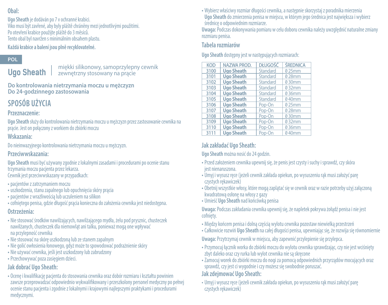### **Obal:**

**Ugo Sheath** je dodáván po 7 v ochranné krabici. Víko musí být zavřené, aby byly pláště chráněny mezi jednotlivými použitími. Po otevření krabice použijte pláště do 3 měsíců. Tento obal byl navržen s minimálním obsahem plastu. **Každá krabice a balení jsou plně recyklovatelné.** 

### **POL**

**Ugo Sheath**

miękki silikonowy, samoprzylepny cewnik zewnętrzny stosowany na prącie

**Do kontrolowania nietrzymania moczu u mężczyzn Do 24-godzinnego zastosowania** 

# **SPOSÓB UŻYCIA**

#### **Przeznaczenie:**

**Ugo Sheath** służy do kontrolowania nietrzymania moczu u mężczyzn przez zastosowanie cewnika na prącie. Jest on połączony z workiem do zbiórki moczu

#### **Wskazania:**

Do nieinwazyjnego kontrolowania nietrzymania moczu u mężczyzn.

#### **Przeciwwskazania:**

**Ugo Sheath** musi być używany zgodnie z lokalnymi zasadami i procedurami po ocenie stanu trzymania moczu pacjenta przez lekarza. Cewnik jest przeciwwskazany w przypadkach:

- •pacjentów z zatrzymaniem moczu
- •uszkodzenia, stanu zapalnego lub opuchnięcia skóry prącia
- •pacjentów z wrażliwością lub uczuleniem na silikon
- cofniętego penisa, gdzie długość prącia konieczna do założenia cewnika jest niedostępna.

### **Ostrzeżenia:**

- Nie stosować środków nawilżających, nawilżającego mydła, żelu pod prysznic, chusteczek nawilżanych, chusteczek dla niemowląt ani talku, ponieważ mogą one wpływać na przylepność cewnika
- Nie stosować na skórę uszkodzoną lub ze stanem zapalnym
- Nie golić owłosienia łonowego, gdyż może to spowodować podrażnienie skóry
- Nie używać cewnika, jeśli jest uszkodzony lub zabrudzony
- •Przechowywać poza zasięgiem dzieci.

## **Jak dobrać Ugo Sheath:**

• Ocenę i kwalifikację pacjenta do stosowania cewnika oraz dobór rozmiaru i kształtu powinien zawsze przeprowadzać odpowiednio wykwalifikowany i przeszkolony personel medyczny po pełnej ocenie stanu pacjenta i zgodnie z lokalnymi i krajowymi najlepszymi praktykami i procedurami medycznymi.

• Wybierz właściwy rozmiar długości cewnika, a następnie skorzystaj z poradnika mierzenia **Ugo Sheath** do zmierzenia penisa w miejscu, w którym jego średnica jest największa i wybierz średnicę o odpowiednim rozmiarze.

**Uwaga:** Podczas dokonywania pomiaru w celu doboru cewnika należy uwzględnić naturalne zmiany rozmiaru penisa.

#### **Tabela rozmiarów**

**Ugo Sheath** dostępny jest w następujących rozmiarach:

| <b>NAZWA PROD.</b> | <b>DŁUGOŚĆ</b> | <b><i>ŚREDNICA</i></b> |
|--------------------|----------------|------------------------|
| <b>Ugo Sheath</b>  | Standard       | 025mm                  |
| <b>Ugo Sheath</b>  | Standard       | 028mm                  |
| <b>Ugo Sheath</b>  | Standard       | 030mm                  |
| <b>Ugo Sheath</b>  | Standard       | 032mm                  |
| <b>Ugo Sheath</b>  | Standard       | 036mm                  |
| <b>Ugo Sheath</b>  | Standard       | 040mm                  |
| <b>Ugo Sheath</b>  | Pop-On         | 025mm                  |
| <b>Ugo Sheath</b>  | Pop-On         | 028mm                  |
| <b>Ugo Sheath</b>  | Pop-On         | 030mm                  |
| <b>Ugo Sheath</b>  | Pop-On         | 032mm                  |
| <b>Ugo Sheath</b>  | Pop-On         | 036mm                  |
| <b>Ugo Sheath</b>  | Pop-On         | 040mm                  |
|                    |                |                        |

# **Jak zakładać Ugo Sheath:**

**Ugo Sheath** można nosić do 24 godzin.

- •Przed założeniem cewnika upewnij się, że penis jest czysty i suchy i sprawdź, czy skóra jest nienaruszona.
- Umyj i wysusz ręce (jeżeli cewnik zakłada opiekun, po wysuszeniu rąk musi założyć parę czystych rękawiczek)
- Obetnij wszystkie włosy, które mogą zaplątać się w cewnik oraz w razie potrzeby użyj załączoną kwadratową osłonę na włosy z gazy
- Umieść **Ugo Sheath** nad końcówką penisa

**Uwaga:** Podczas zakładania cewnika upewnij się, że napletek pokrywa żołądź penisa i nie jest cofnięty.

- Między końcem penisa i dolną częścią wylotu cewnika pozostaw niewielką przestrzeń
- Całkowicie rozwiń **Ugo Sheath** na całej długości penisa, upewniając się, że rozwija się równomiernie

**Uwaga:** Przytrzymaj cewnik w miejscu, aby zapewnić przylepienie się przylepca.

- •Przymocuj łącznik worka do zbiórki moczu do wylotu cewnika sprawdzając, czy nie jest wciśnięty zbyt daleko oraz czy rurka lub wylot cewnika nie są skręcone
- Zamocuj worek do zbiórki moczu do nogi za pomocą odpowiednich przyrządów mocujących oraz sprawdź, czy jest ci wygodnie i czy możesz się swobodnie poruszać.

### **Jak zdejmować Ugo Sheath:**

• Umyj i wysusz ręce (jeżeli cewnik zakłada opiekun, po wysuszeniu rąk musi założyć parę czystych rękawiczek)